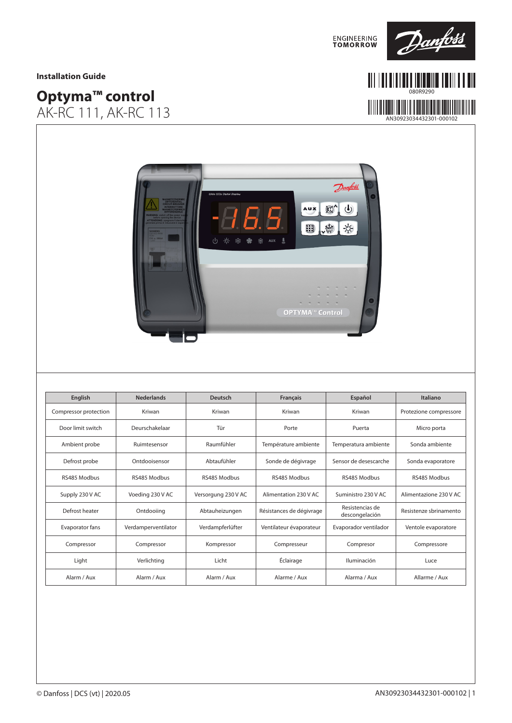

080R9290

#### **Installation Guide**

# **Optyma™ control**  AK-RC 111, AK-RC 113

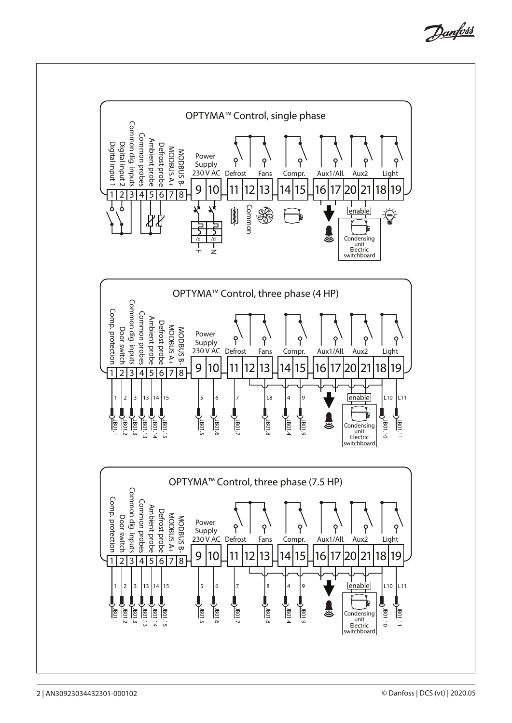Danfoss

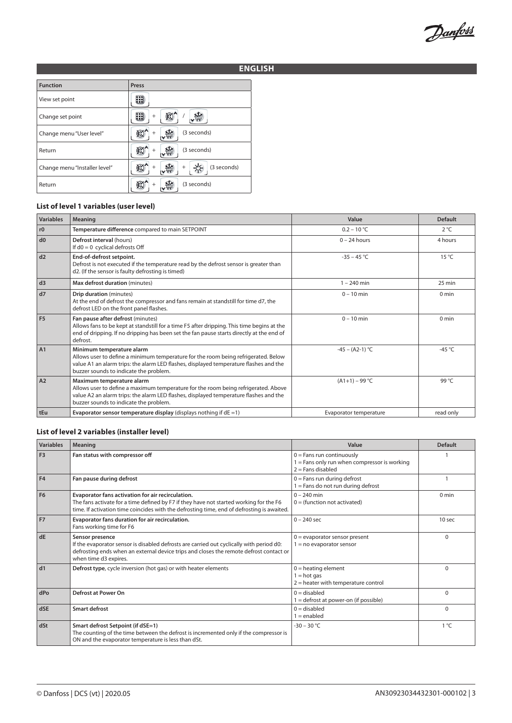Danfoss

# **ENGLISH**

| <b>Function</b>               | Press                 |
|-------------------------------|-----------------------|
| View set point                |                       |
| Change set point              | $\ddot{}$             |
| Change menu "User level"      | (3 seconds)<br>$^{+}$ |
| Return                        | (3 seconds)           |
| Change menu "Installer level" | (3 seconds)<br>$^{+}$ |
| Return                        | (3 seconds)           |

#### **List of level 1 variables (user level)**

| <b>Variables</b> | <b>Meaning</b>                                                                                                                                                                                                                                     | Value                  | <b>Default</b>  |
|------------------|----------------------------------------------------------------------------------------------------------------------------------------------------------------------------------------------------------------------------------------------------|------------------------|-----------------|
| r0               | Temperature difference compared to main SETPOINT                                                                                                                                                                                                   | $0.2 - 10 °C$          | $2^{\circ}C$    |
| d0               | Defrost interval (hours)<br>If $d0 = 0$ cyclical defrosts Off                                                                                                                                                                                      | $0 - 24$ hours         | 4 hours         |
| d2               | End-of-defrost setpoint.<br>Defrost is not executed if the temperature read by the defrost sensor is greater than<br>d2. (If the sensor is faulty defrosting is timed)                                                                             | $-35 - 45$ °C          | $15^{\circ}$ C  |
| d3               | Max defrost duration (minutes)                                                                                                                                                                                                                     | $1 - 240$ min          | 25 min          |
| d7               | Drip duration (minutes)<br>At the end of defrost the compressor and fans remain at standstill for time d7, the<br>defrost LED on the front panel flashes.                                                                                          | $0 - 10$ min           | $0 \text{ min}$ |
| F <sub>5</sub>   | Fan pause after defrost (minutes)<br>Allows fans to be kept at standstill for a time F5 after dripping. This time begins at the<br>end of dripping. If no dripping has been set the fan pause starts directly at the end of<br>defrost.            | $0 - 10$ min           | $0 \text{ min}$ |
| A1               | Minimum temperature alarm<br>Allows user to define a minimum temperature for the room being refrigerated. Below<br>value A1 an alarm trips: the alarm LED flashes, displayed temperature flashes and the<br>buzzer sounds to indicate the problem. | $-45 - (A2-1)$ °C      | $-45^{\circ}$ C |
| A2               | Maximum temperature alarm<br>Allows user to define a maximum temperature for the room being refrigerated. Above<br>value A2 an alarm trips: the alarm LED flashes, displayed temperature flashes and the<br>buzzer sounds to indicate the problem. | $(A1+1) - 99$ °C       | 99 °C           |
| tEu              | Evaporator sensor temperature display (displays nothing if $dE = 1$ )                                                                                                                                                                              | Evaporator temperature | read only       |

#### **List of level 2 variables (installer level)**

| <b>Variables</b> | <b>Meaning</b>                                                                                                                                                                                                                            | Value                                                                                              | <b>Default</b>  |
|------------------|-------------------------------------------------------------------------------------------------------------------------------------------------------------------------------------------------------------------------------------------|----------------------------------------------------------------------------------------------------|-----------------|
| F <sub>3</sub>   | Fan status with compressor off                                                                                                                                                                                                            | $0 =$ Fans run continuously<br>1 = Fans only run when compressor is working<br>$2 =$ Fans disabled |                 |
| F4               | Fan pause during defrost                                                                                                                                                                                                                  | $0 =$ Fans run during defrost<br>$1 =$ Fans do not run during defrost                              |                 |
| F <sub>6</sub>   | Evaporator fans activation for air recirculation.<br>The fans activate for a time defined by F7 if they have not started working for the F6<br>time. If activation time coincides with the defrosting time, end of defrosting is awaited. | $0 - 240$ min<br>$0 =$ (function not activated)                                                    | $0 \text{ min}$ |
| F <sub>7</sub>   | Evaporator fans duration for air recirculation.<br>Fans working time for F6                                                                                                                                                               | $0 - 240$ sec                                                                                      | 10 sec          |
| dE               | Sensor presence<br>If the evaporator sensor is disabled defrosts are carried out cyclically with period d0:<br>defrosting ends when an external device trips and closes the remote defrost contact or<br>when time d3 expires.            | $0 =$ evaporator sensor present<br>$1 = no$ evaporator sensor                                      | $\Omega$        |
| d1               | Defrost type, cycle inversion (hot gas) or with heater elements                                                                                                                                                                           | $0 =$ heating element<br>$1 = hot gas$<br>$2$ = heater with temperature control                    | $\Omega$        |
| dPo              | Defrost at Power On                                                                                                                                                                                                                       | $0 =$ disabled<br>1 = defrost at power-on (if possible)                                            | $\Omega$        |
| dSE              | <b>Smart defrost</b>                                                                                                                                                                                                                      | $0 =$ disabled<br>$1 =$ enabled                                                                    | $\Omega$        |
| dSt              | Smart defrost Setpoint (if dSE=1)<br>The counting of the time between the defrost is incremented only if the compressor is<br>ON and the evaporator temperature is less than dSt.                                                         | $-30 - 30 °C$                                                                                      | $1^{\circ}C$    |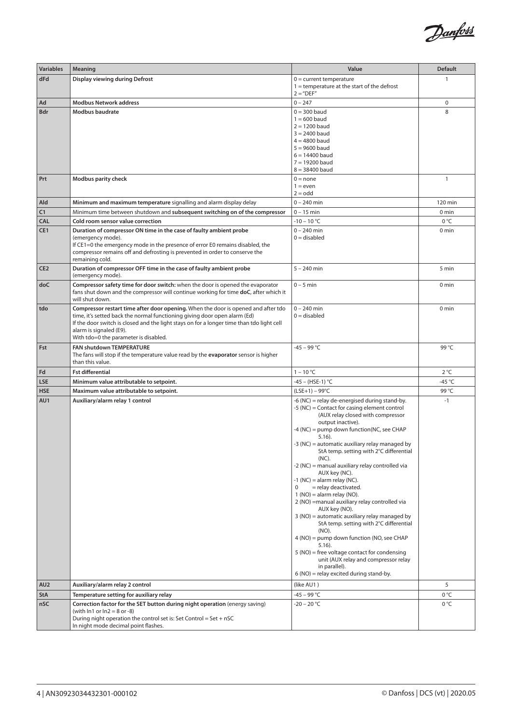

| <b>Variables</b> | <b>Meaning</b>                                                                                                                                                         | Value                                                                                         | <b>Default</b>   |
|------------------|------------------------------------------------------------------------------------------------------------------------------------------------------------------------|-----------------------------------------------------------------------------------------------|------------------|
| dFd              | Display viewing during Defrost                                                                                                                                         | $0 =$ current temperature<br>$1 =$ temperature at the start of the defrost<br>$2 = "DEF"$     | 1                |
| Ad               | <b>Modbus Network address</b>                                                                                                                                          | $0 - 247$                                                                                     | 0                |
| Bdr              | Modbus baudrate                                                                                                                                                        | $0 = 300$ baud<br>$1 = 600$ baud                                                              | 8                |
|                  |                                                                                                                                                                        | $2 = 1200$ baud                                                                               |                  |
|                  |                                                                                                                                                                        | $3 = 2400$ baud                                                                               |                  |
|                  |                                                                                                                                                                        | $4 = 4800$ baud<br>$5 = 9600$ baud                                                            |                  |
|                  |                                                                                                                                                                        | $6 = 14400$ baud                                                                              |                  |
|                  |                                                                                                                                                                        | $7 = 19200$ baud<br>$8 = 38400$ baud                                                          |                  |
| Prt              | Modbus parity check                                                                                                                                                    | $0 = none$                                                                                    | $\mathbf{1}$     |
|                  |                                                                                                                                                                        | $1 = even$                                                                                    |                  |
|                  |                                                                                                                                                                        | $2 =$ odd                                                                                     |                  |
| Ald<br>C1        | Minimum and maximum temperature signalling and alarm display delay<br>Minimum time between shutdown and subsequent switching on of the compressor                      | $0 - 240$ min<br>$0 - 15$ min                                                                 | 120 min<br>0 min |
| <b>CAL</b>       | Cold room sensor value correction                                                                                                                                      | $-10 - 10 °C$                                                                                 | 0 °C             |
| CE1              | Duration of compressor ON time in the case of faulty ambient probe                                                                                                     | $0 - 240$ min                                                                                 | 0 min            |
|                  | (emergency mode).                                                                                                                                                      | $0 =$ disabled                                                                                |                  |
|                  | If CE1=0 the emergency mode in the presence of error E0 remains disabled, the<br>compressor remains off and defrosting is prevented in order to conserve the           |                                                                                               |                  |
|                  | remaining cold.                                                                                                                                                        |                                                                                               |                  |
| CE <sub>2</sub>  | Duration of compressor OFF time in the case of faulty ambient probe<br>(emergency mode).                                                                               | $5 - 240$ min                                                                                 | 5 min            |
| doC              | Compressor safety time for door switch: when the door is opened the evaporator<br>fans shut down and the compressor will continue working for time doC, after which it | $0 - 5$ min                                                                                   | 0 <sub>min</sub> |
|                  | will shut down.                                                                                                                                                        |                                                                                               |                  |
| tdo              | Compressor restart time after door opening. When the door is opened and after tdo                                                                                      | $0 - 240$ min                                                                                 | 0 min            |
|                  | time, it's setted back the normal functioning giving door open alarm (Ed)<br>If the door switch is closed and the light stays on for a longer time than tdo light cell | $0 =$ disabled                                                                                |                  |
|                  | alarm is signaled (E9).                                                                                                                                                |                                                                                               |                  |
|                  | With tdo=0 the parameter is disabled.                                                                                                                                  |                                                                                               |                  |
| Fst              | <b>FAN shutdown TEMPERATURE</b><br>The fans will stop if the temperature value read by the evaporator sensor is higher                                                 | -45 – 99 °C                                                                                   | 99 °C            |
|                  | than this value.                                                                                                                                                       |                                                                                               |                  |
| Fd               | <b>Fst differential</b>                                                                                                                                                | $1 - 10 °C$                                                                                   | $2^{\circ}C$     |
| <b>LSE</b>       | Minimum value attributable to setpoint.                                                                                                                                | -45 - (HSE-1) °C                                                                              | -45 $^{\circ}$ C |
| <b>HSE</b>       | Maximum value attributable to setpoint.                                                                                                                                | $(LSE+1) - 99^{\circ}C$                                                                       | 99 °C            |
| AU1              | Auxiliary/alarm relay 1 control                                                                                                                                        | -6 (NC) = relay de-energised during stand-by.<br>-5 (NC) = Contact for casing element control | $-1$             |
|                  |                                                                                                                                                                        | (AUX relay closed with compressor                                                             |                  |
|                  |                                                                                                                                                                        | output inactive).<br>-4 (NC) = pump down function(NC, see CHAP                                |                  |
|                  |                                                                                                                                                                        | $5.16$ ).                                                                                     |                  |
|                  |                                                                                                                                                                        | -3 (NC) = automatic auxiliary relay managed by<br>StA temp. setting with 2°C differential     |                  |
|                  |                                                                                                                                                                        | (NC).                                                                                         |                  |
|                  |                                                                                                                                                                        | -2 (NC) = manual auxiliary relay controlled via                                               |                  |
|                  |                                                                                                                                                                        | AUX key (NC).<br>$-1$ (NC) = alarm relay (NC).                                                |                  |
|                  |                                                                                                                                                                        | = relay deactivated.                                                                          |                  |
|                  |                                                                                                                                                                        | $1 (NO) =$ alarm relay (NO).<br>2 (NO) = manual auxiliary relay controlled via                |                  |
|                  |                                                                                                                                                                        | AUX key (NO).                                                                                 |                  |
|                  |                                                                                                                                                                        | 3 (NO) = automatic auxiliary relay managed by<br>StA temp. setting with 2°C differential      |                  |
|                  |                                                                                                                                                                        | $(NO)$ .<br>4 (NO) = pump down function (NO, see CHAP                                         |                  |
|                  |                                                                                                                                                                        | $5.16$ ).<br>$5$ (NO) = free voltage contact for condensing                                   |                  |
|                  |                                                                                                                                                                        | unit (AUX relay and compressor relay                                                          |                  |
|                  |                                                                                                                                                                        | in parallel).<br>6 (NO) = relay excited during stand-by.                                      |                  |
| AU <sub>2</sub>  | Auxiliary/alarm relay 2 control                                                                                                                                        | (like AU1)                                                                                    | 5                |
| <b>StA</b>       | Temperature setting for auxiliary relay                                                                                                                                | -45 – 99 °C                                                                                   | 0 °C             |
| nSC              | Correction factor for the SET button during night operation (energy saving)                                                                                            | -20 – 20 °C                                                                                   | 0 °C             |
|                  | (with $\ln 1$ or $\ln 2 = 8$ or -8)<br>During night operation the control set is: Set Control = Set + nSC                                                              |                                                                                               |                  |
|                  | In night mode decimal point flashes.                                                                                                                                   |                                                                                               |                  |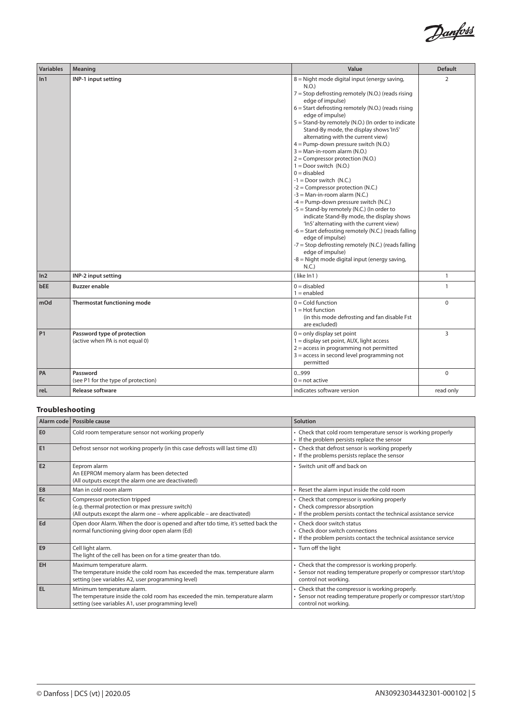

| <b>Variables</b> | Meaning                                                        | Value                                                                                                                                                                                                                                                                                                                                                                                                                                                                                                                                                                                                                                                                                                                                                                                                                                                                                                                                                                                                                        | <b>Default</b> |
|------------------|----------------------------------------------------------------|------------------------------------------------------------------------------------------------------------------------------------------------------------------------------------------------------------------------------------------------------------------------------------------------------------------------------------------------------------------------------------------------------------------------------------------------------------------------------------------------------------------------------------------------------------------------------------------------------------------------------------------------------------------------------------------------------------------------------------------------------------------------------------------------------------------------------------------------------------------------------------------------------------------------------------------------------------------------------------------------------------------------------|----------------|
| ln 1             | INP-1 input setting                                            | 8 = Night mode digital input (energy saving,<br>N.O.)<br>$7 =$ Stop defrosting remotely (N.O.) (reads rising<br>edge of impulse)<br>$6 =$ Start defrosting remotely (N.O.) (reads rising<br>edge of impulse)<br>5 = Stand-by remotely (N.O.) (In order to indicate<br>Stand-By mode, the display shows 'In5'<br>alternating with the current view)<br>4 = Pump-down pressure switch (N.O.)<br>$3 =$ Man-in-room alarm (N.O.)<br>$2 =$ Compressor protection (N.O.)<br>$1 = Door$ switch $(N.O.)$<br>$0 =$ disabled<br>$-1 = Door$ switch (N.C.)<br>$-2 =$ Compressor protection (N.C.)<br>$-3 =$ Man-in-room alarm (N.C.)<br>$-4$ = Pump-down pressure switch (N.C.)<br>-5 = Stand-by remotely (N.C.) (In order to<br>indicate Stand-By mode, the display shows<br>'In5' alternating with the current view)<br>-6 = Start defrosting remotely (N.C.) (reads falling<br>edge of impulse)<br>-7 = Stop defrosting remotely (N.C.) (reads falling<br>edge of impulse)<br>-8 = Night mode digital input (energy saving,<br>N.C.) | $\overline{2}$ |
| ln <sub>2</sub>  | INP-2 input setting                                            | (like In1)                                                                                                                                                                                                                                                                                                                                                                                                                                                                                                                                                                                                                                                                                                                                                                                                                                                                                                                                                                                                                   | $\mathbf{1}$   |
| <b>bEE</b>       | <b>Buzzer enable</b>                                           | $0 =$ disabled<br>$1 =$ enabled                                                                                                                                                                                                                                                                                                                                                                                                                                                                                                                                                                                                                                                                                                                                                                                                                                                                                                                                                                                              | $\mathbf{1}$   |
| mOd              | Thermostat functioning mode                                    | $0 =$ Cold function<br>$1 =$ Hot function<br>(in this mode defrosting and fan disable Fst<br>are excluded)                                                                                                                                                                                                                                                                                                                                                                                                                                                                                                                                                                                                                                                                                                                                                                                                                                                                                                                   | $\mathbf 0$    |
| <b>P1</b>        | Password type of protection<br>(active when PA is not equal 0) | $0 =$ only display set point<br>1 = display set point, AUX, light access<br>$2 =$ access in programming not permitted<br>$3 =$ access in second level programming not<br>permitted                                                                                                                                                                                                                                                                                                                                                                                                                                                                                                                                                                                                                                                                                                                                                                                                                                           | 3              |
| PA               | Password<br>(see P1 for the type of protection)                | 0999<br>$0 = not active$                                                                                                                                                                                                                                                                                                                                                                                                                                                                                                                                                                                                                                                                                                                                                                                                                                                                                                                                                                                                     | $\mathbf 0$    |
| reL              | <b>Release software</b>                                        | indicates software version                                                                                                                                                                                                                                                                                                                                                                                                                                                                                                                                                                                                                                                                                                                                                                                                                                                                                                                                                                                                   | read only      |

# **Troubleshooting**

|                | Alarm code   Possible cause                                                                                                                                      | Solution                                                                                                                                           |
|----------------|------------------------------------------------------------------------------------------------------------------------------------------------------------------|----------------------------------------------------------------------------------------------------------------------------------------------------|
| E0             | Cold room temperature sensor not working properly                                                                                                                | • Check that cold room temperature sensor is working properly<br>• If the problem persists replace the sensor                                      |
| E1             | Defrost sensor not working properly (in this case defrosts will last time d3)                                                                                    | • Check that defrost sensor is working properly<br>• If the problems persists replace the sensor                                                   |
| E2             | Eeprom alarm<br>An EEPROM memory alarm has been detected<br>(All outputs except the alarm one are deactivated)                                                   | • Switch unit off and back on                                                                                                                      |
| E <sub>8</sub> | Man in cold room alarm                                                                                                                                           | • Reset the alarm input inside the cold room                                                                                                       |
| Ec             | Compressor protection tripped<br>(e.g. thermal protection or max pressure switch)<br>(All outputs except the alarm one - where applicable - are deactivated)     | • Check that compressor is working properly<br>• Check compressor absorption<br>• If the problem persists contact the technical assistance service |
| Ed             | Open door Alarm. When the door is opened and after tdo time, it's setted back the<br>normal functioning giving door open alarm (Ed)                              | • Check door switch status<br>• Check door switch connections<br>• If the problem persists contact the technical assistance service                |
| E <sub>9</sub> | Cell light alarm.<br>The light of the cell has been on for a time greater than tdo.                                                                              | • Turn off the light                                                                                                                               |
| EH             | Maximum temperature alarm.<br>The temperature inside the cold room has exceeded the max, temperature alarm<br>setting (see variables A2, user programming level) | • Check that the compressor is working properly.<br>Sensor not reading temperature properly or compressor start/stop<br>control not working.       |
| l El           | Minimum temperature alarm.<br>The temperature inside the cold room has exceeded the min. temperature alarm<br>setting (see variables A1, user programming level) | • Check that the compressor is working properly.<br>• Sensor not reading temperature properly or compressor start/stop<br>control not working.     |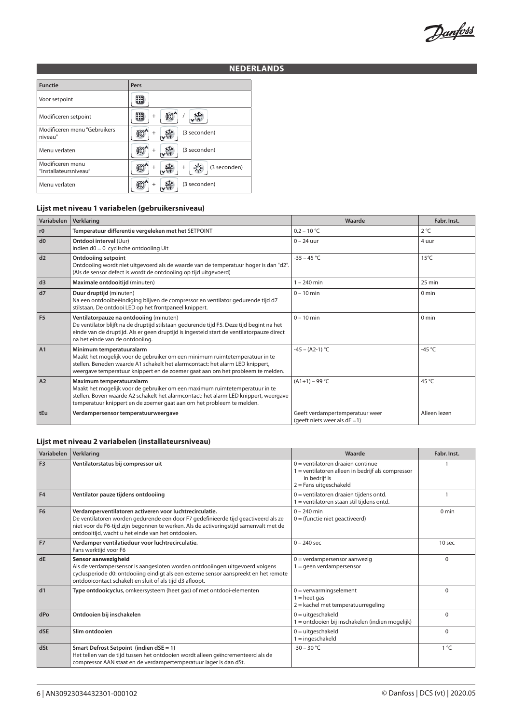Danfoss

# **NEDERLANDS**

| <b>Functie</b>                            | Pers                   |
|-------------------------------------------|------------------------|
| Voor setpoint                             |                        |
| Modificeren setpoint                      | $^{+}$                 |
| Modificeren menu "Gebruikers<br>niveau"   | (3 seconden)<br>÷      |
| Menu verlaten                             | (3 seconden)           |
| Modificeren menu<br>"Installateursniveau" | (3 seconden)<br>$^{+}$ |
| Menu verlaten                             | (3 seconden)           |

# **Lijst met niveau 1 variabelen (gebruikersniveau)**

| Variabelen     | Verklaring                                                                                                                                                                                                                                                                 | Waarde                                                              | Fabr. Inst.      |
|----------------|----------------------------------------------------------------------------------------------------------------------------------------------------------------------------------------------------------------------------------------------------------------------------|---------------------------------------------------------------------|------------------|
| r0             | Temperatuur differentie vergeleken met het SETPOINT                                                                                                                                                                                                                        | $0.2 - 10 °C$                                                       | $2^{\circ}C$     |
| d0             | Ontdooi interval (Uur)<br>indien $d0 = 0$ cyclische ontdooiing Uit                                                                                                                                                                                                         | $0 - 24$ uur                                                        | 4 uur            |
| d2             | <b>Ontdooiing setpoint</b><br>Ontdooiing wordt niet uitgevoerd als de waarde van de temperatuur hoger is dan "d2".<br>(Als de sensor defect is wordt de ontdooiing op tijd uitgevoerd)                                                                                     | $-35 - 45$ °C                                                       | $15^{\circ}$ C   |
| d3             | Maximale ontdooitijd (minuten)                                                                                                                                                                                                                                             | $1 - 240$ min                                                       | 25 min           |
| d7             | Duur druptijd (minuten)<br>Na een ontdooibeëindiging blijven de compressor en ventilator gedurende tijd d7<br>stilstaan, De ontdooi LED op het frontpaneel knippert.                                                                                                       | $0 - 10$ min                                                        | $0 \text{ min}$  |
| F <sub>5</sub> | Ventilatorpauze na ontdooiing (minuten)<br>De ventilator blijft na de druptijd stilstaan gedurende tijd F5. Deze tijd begint na het<br>einde van de druptijd. Als er geen druptijd is ingesteld start de ventilatorpauze direct<br>na het einde van de ontdooiing.         | $0 - 10$ min                                                        | 0 <sub>min</sub> |
| A1             | Minimum temperatuuralarm<br>Maakt het mogelijk voor de gebruiker om een minimum ruimtetemperatuur in te<br>stellen. Beneden waarde A1 schakelt het alarmcontact: het alarm LED knippert,<br>weergave temperatuur knippert en de zoemer gaat aan om het probleem te melden. | $-45 - (A2-1) °C$                                                   | -45 $^{\circ}$ C |
| A2             | Maximum temperatuuralarm<br>Maakt het mogelijk voor de gebruiker om een maximum ruimtetemperatuur in te<br>stellen. Boven waarde A2 schakelt het alarmcontact: het alarm LED knippert, weergave<br>temperatuur knippert en de zoemer gaat aan om het probleem te melden.   | $(A1+1) - 99$ °C                                                    | 45 °C            |
| tEu            | Verdampersensor temperatuurweergave                                                                                                                                                                                                                                        | Geeft verdampertemperatuur weer<br>(geeft niets weer als $dE = 1$ ) | Alleen lezen     |

#### **Lijst met niveau 2 variabelen (installateursniveau)**

| Variabelen     | Verklaring                                                                                                                                                                                                                                                                                  | Waarde                                                                                                                                | Fabr. Inst.      |
|----------------|---------------------------------------------------------------------------------------------------------------------------------------------------------------------------------------------------------------------------------------------------------------------------------------------|---------------------------------------------------------------------------------------------------------------------------------------|------------------|
| F <sub>3</sub> | Ventilatorstatus bij compressor uit                                                                                                                                                                                                                                                         | $0 =$ ventilatoren draaien continue<br>1 = ventilatoren alleen in bedrijf als compressor<br>in bedrijf is<br>$2$ = Fans uitgeschakeld |                  |
| F <sub>4</sub> | Ventilator pauze tijdens ontdooiing                                                                                                                                                                                                                                                         | $0 =$ ventilatoren draaien tijdens ontd.<br>1 = ventilatoren staan stil tijdens ontd.                                                 |                  |
| F <sub>6</sub> | Verdamperventilatoren activeren voor luchtrecirculatie.<br>De ventilatoren worden gedurende een door F7 gedefinieerde tijd geactiveerd als ze<br>niet voor de F6-tijd zijn begonnen te werken. Als de activeringstijd samenvalt met de<br>ontdooitijd, wacht u het einde van het ontdooien. | $0 - 240$ min<br>$0 =$ (functie niet geactiveerd)                                                                                     | 0 <sub>min</sub> |
| F <sub>7</sub> | Verdamper ventilatieduur voor luchtrecirculatie.<br>Fans werktijd voor F6                                                                                                                                                                                                                   | $0 - 240$ sec                                                                                                                         | 10 sec           |
| <b>dE</b>      | Sensor aanwezigheid<br>Als de verdampersensor Is aangesloten worden ontdooiingen uitgevoerd volgens<br>cyclusperiode d0: ontdooiing eindigt als een externe sensor aanspreekt en het remote<br>ontdooicontact schakelt en sluit of als tijd d3 afloopt.                                     | $0 = verdampersensor aanwezig$<br>$1 =$ qeen verdampersensor                                                                          | $\Omega$         |
| d1             | Type ontdooicyclus, omkeersysteem (heet gas) of met ontdooi-elementen                                                                                                                                                                                                                       | $0 = verwarmingselement$<br>$1 =$ heet gas<br>$2 =$ kachel met temperatuurregeling                                                    | $\Omega$         |
| dPo            | Ontdooien bij inschakelen                                                                                                                                                                                                                                                                   | $0 = uitgeschakeld$<br>1 = ontdooien bij inschakelen (indien mogelijk)                                                                | $\Omega$         |
| <b>dSE</b>     | Slim ontdooien                                                                                                                                                                                                                                                                              | $0 = uitgeschakeld$<br>$1 =$ ingeschakeld                                                                                             | $\Omega$         |
| dSt            | Smart Defrost Setpoint (indien dSE = 1)<br>Het tellen van de tijd tussen het ontdooien wordt alleen geïncrementeerd als de<br>compressor AAN staat en de verdampertemperatuur lager is dan dSt.                                                                                             | $-30 - 30$ °C                                                                                                                         | $1^{\circ}C$     |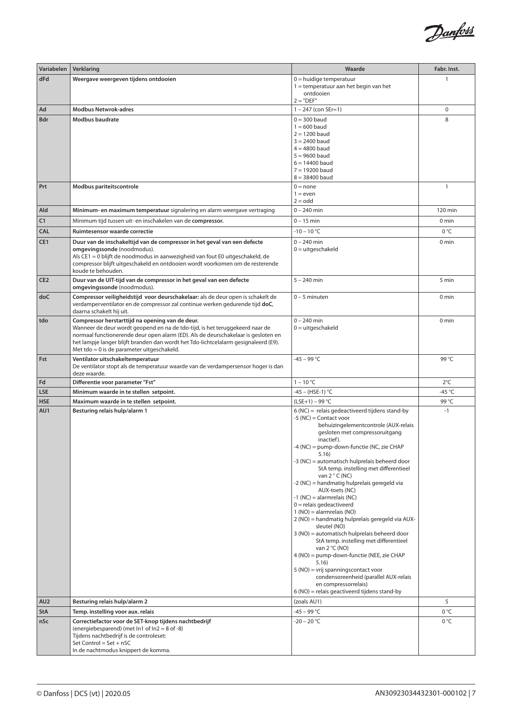

| Variabelen        | Verklaring                                                                                                                                                                                                                                                                                                                                                  | Waarde                                                                                                                                                                                                                                                                                                                                                                                                                                                                                                                                                                                                                                                                                                                                                                                                                                                                                                           | Fabr. Inst.           |
|-------------------|-------------------------------------------------------------------------------------------------------------------------------------------------------------------------------------------------------------------------------------------------------------------------------------------------------------------------------------------------------------|------------------------------------------------------------------------------------------------------------------------------------------------------------------------------------------------------------------------------------------------------------------------------------------------------------------------------------------------------------------------------------------------------------------------------------------------------------------------------------------------------------------------------------------------------------------------------------------------------------------------------------------------------------------------------------------------------------------------------------------------------------------------------------------------------------------------------------------------------------------------------------------------------------------|-----------------------|
| dFd               | Weergave weergeven tijdens ontdooien                                                                                                                                                                                                                                                                                                                        | $0 =$ huidige temperatuur<br>$1 =$ temperatuur aan het begin van het<br>ontdooien<br>$2 = "DEF"$                                                                                                                                                                                                                                                                                                                                                                                                                                                                                                                                                                                                                                                                                                                                                                                                                 |                       |
| Ad                | <b>Modbus Netwrok-adres</b>                                                                                                                                                                                                                                                                                                                                 | $1 - 247$ (con SEr=1)                                                                                                                                                                                                                                                                                                                                                                                                                                                                                                                                                                                                                                                                                                                                                                                                                                                                                            | $\mathbf 0$           |
| <b>Bdr</b>        | <b>Modbus baudrate</b>                                                                                                                                                                                                                                                                                                                                      | $0 = 300$ baud<br>$1 = 600$ baud<br>$2 = 1200$ baud<br>$3 = 2400$ baud<br>$4 = 4800$ baud<br>$5 = 9600$ baud<br>$6 = 14400$ baud<br>$7 = 19200$ baud<br>$8 = 38400$ baud                                                                                                                                                                                                                                                                                                                                                                                                                                                                                                                                                                                                                                                                                                                                         | 8                     |
| Prt               | Modbus pariteitscontrole                                                                                                                                                                                                                                                                                                                                    | $0 = none$<br>$1 = even$<br>$2 =$ odd                                                                                                                                                                                                                                                                                                                                                                                                                                                                                                                                                                                                                                                                                                                                                                                                                                                                            | $\mathbf{1}$          |
| Ald               | Minimum- en maximum temperatuur signalering en alarm weergave vertraging                                                                                                                                                                                                                                                                                    | $0 - 240$ min                                                                                                                                                                                                                                                                                                                                                                                                                                                                                                                                                                                                                                                                                                                                                                                                                                                                                                    | 120 min               |
| C1                | Minimum tijd tussen uit- en inschakelen van de compressor.                                                                                                                                                                                                                                                                                                  | $0 - 15$ min                                                                                                                                                                                                                                                                                                                                                                                                                                                                                                                                                                                                                                                                                                                                                                                                                                                                                                     | 0 min                 |
| <b>CAL</b>        | Ruimtesensor waarde correctie                                                                                                                                                                                                                                                                                                                               | $-10 - 10 °C$                                                                                                                                                                                                                                                                                                                                                                                                                                                                                                                                                                                                                                                                                                                                                                                                                                                                                                    | $0^{\circ}$ C         |
| CE <sub>1</sub>   | Duur van de inschakeltijd van de compressor in het geval van een defecte<br>omgevingssonde (noodmodus).<br>Als CE1 = 0 blijft de noodmodus in aanwezigheid van fout E0 uitgeschakeld, de<br>compressor blijft uitgeschakeld en ontdooien wordt voorkomen om de resterende<br>koude te behouden.                                                             | $0 - 240$ min<br>$0 = uitgeschakeld$                                                                                                                                                                                                                                                                                                                                                                                                                                                                                                                                                                                                                                                                                                                                                                                                                                                                             | 0 min                 |
| CE <sub>2</sub>   | Duur van de UIT-tijd van de compressor in het geval van een defecte<br>omgevingssonde (noodmodus).                                                                                                                                                                                                                                                          | $5 - 240$ min                                                                                                                                                                                                                                                                                                                                                                                                                                                                                                                                                                                                                                                                                                                                                                                                                                                                                                    | 5 min                 |
| doC               | Compressor veiligheidstijd voor deurschakelaar: als de deur open is schakelt de<br>verdamperventilator en de compressor zal continue werken gedurende tijd doC,<br>daarna schakelt hij uit.                                                                                                                                                                 | $0 - 5$ minuten                                                                                                                                                                                                                                                                                                                                                                                                                                                                                                                                                                                                                                                                                                                                                                                                                                                                                                  | 0 <sub>min</sub>      |
| tdo               | Compressor herstarttijd na opening van de deur.<br>Wanneer de deur wordt geopend en na de tdo-tijd, is het teruggekeerd naar de<br>normaal functionerende deur open alarm (ED). Als de deurschakelaar is gesloten en<br>het lampje langer blijft branden dan wordt het Tdo-lichtcelalarm gesignaleerd (E9).<br>Met tdo = $0$ is de parameter uitgeschakeld. | $0 - 240$ min<br>$0 = uitgeschakeld$                                                                                                                                                                                                                                                                                                                                                                                                                                                                                                                                                                                                                                                                                                                                                                                                                                                                             | 0 <sub>min</sub>      |
| Fst               | Ventilator uitschakeltemperatuur<br>De ventilator stopt als de temperatuur waarde van de verdampersensor hoger is dan<br>deze waarde.                                                                                                                                                                                                                       | $-45 - 99 °C$                                                                                                                                                                                                                                                                                                                                                                                                                                                                                                                                                                                                                                                                                                                                                                                                                                                                                                    | 99 °C                 |
| Fd                | Differentie voor parameter "Fst"                                                                                                                                                                                                                                                                                                                            | $1 - 10 °C$                                                                                                                                                                                                                                                                                                                                                                                                                                                                                                                                                                                                                                                                                                                                                                                                                                                                                                      | $2^{\circ}$ C         |
| <b>LSE</b>        | Minimum waarde in te stellen setpoint.                                                                                                                                                                                                                                                                                                                      | -45 - (HSE-1) °C                                                                                                                                                                                                                                                                                                                                                                                                                                                                                                                                                                                                                                                                                                                                                                                                                                                                                                 | -45 °C                |
| <b>HSE</b>        | Maximum waarde in te stellen setpoint.                                                                                                                                                                                                                                                                                                                      | $(LSE+1) - 99 °C$                                                                                                                                                                                                                                                                                                                                                                                                                                                                                                                                                                                                                                                                                                                                                                                                                                                                                                | 99 °C                 |
| AU1               | Besturing relais hulp/alarm 1                                                                                                                                                                                                                                                                                                                               | $6$ (NC) = relais gedeactiveerd tijdens stand-by<br>-5 (NC) = Contact voor<br>behuizingelementcontrole (AUX-relais<br>gesloten met compressoruitgang<br>inactief).<br>-4 (NC) = pump-down-functie (NC, zie CHAP<br>5.16)<br>-3 (NC) = automatisch hulprelais beheerd door<br>StA temp. instelling met differentieel<br>van $2^{\circ}$ C (NC)<br>-2 (NC) = handmatig hulprelais geregeld via<br>AUX-toets (NC)<br>$-1$ (NC) = alarmrelais (NC)<br>$0 =$ relais gedeactiveerd<br>$1 (NO) = alarmrelais (NO)$<br>2 (NO) = handmatig hulprelais geregeld via AUX-<br>sleutel (NO)<br>3 (NO) = automatisch hulprelais beheerd door<br>StA temp. instelling met differentieel<br>van $2^{\circ}C(NO)$<br>4 (NO) = pump-down-functie (NEE, zie CHAP<br>5.16)<br>5 (NO) = vrij spanningscontact voor<br>condensoreenheid (parallel AUX-relais<br>en compressorrelais)<br>$6$ (NO) = relais geactiveerd tijdens stand-by | $-1$                  |
| AU <sub>2</sub>   | Besturing relais hulp/alarm 2                                                                                                                                                                                                                                                                                                                               | (zoals AU1)                                                                                                                                                                                                                                                                                                                                                                                                                                                                                                                                                                                                                                                                                                                                                                                                                                                                                                      | 5                     |
| <b>StA</b><br>nSc | Temp. instelling voor aux. relais<br>Correctiefactor voor de SET-knop tijdens nachtbedrijf<br>(energiebesparend) (met $ln 1$ of $ln 2 = 8$ of -8)<br>Tijdens nachtbedrijf is de controleset:<br>Set Control = $Set + nSC$<br>In de nachtmodus knippert de komma.                                                                                            | $-45 - 99 °C$<br>$-20 - 20 °C$                                                                                                                                                                                                                                                                                                                                                                                                                                                                                                                                                                                                                                                                                                                                                                                                                                                                                   | $0^{\circ}$ C<br>0 °C |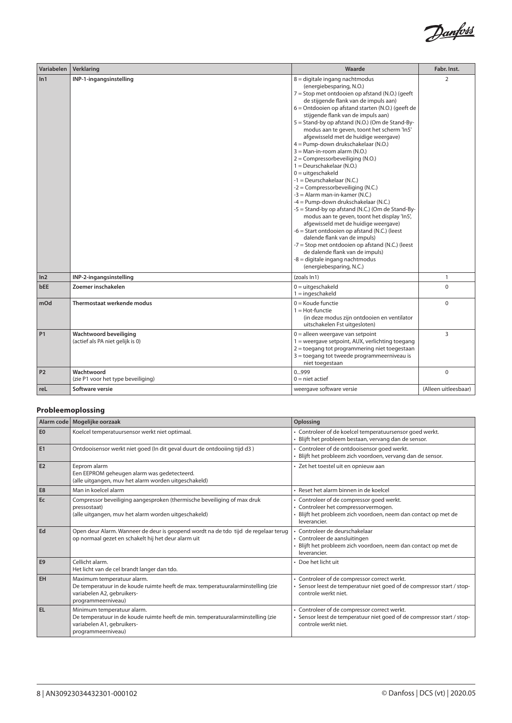

| Variabelen | Verklaring                                                 | Waarde                                                                                                                                                                                                                                                                                                                                                                                                                                                                                                                                                                                                                                                                                                                                                                                                                                                                                                                                                                                                                                                                                                | Fabr. Inst.          |
|------------|------------------------------------------------------------|-------------------------------------------------------------------------------------------------------------------------------------------------------------------------------------------------------------------------------------------------------------------------------------------------------------------------------------------------------------------------------------------------------------------------------------------------------------------------------------------------------------------------------------------------------------------------------------------------------------------------------------------------------------------------------------------------------------------------------------------------------------------------------------------------------------------------------------------------------------------------------------------------------------------------------------------------------------------------------------------------------------------------------------------------------------------------------------------------------|----------------------|
| ln 1       | INP-1-ingangsinstelling                                    | 8 = digitale ingang nachtmodus<br>(energiebesparing, N.O.)<br>7 = Stop met ontdooien op afstand (N.O.) (geeft<br>de stijgende flank van de impuls aan)<br>6 = Ontdooien op afstand starten (N.O.) (geeft de<br>stijgende flank van de impuls aan)<br>5 = Stand-by op afstand (N.O.) (Om de Stand-By-<br>modus aan te geven, toont het scherm 'In5'<br>afgewisseld met de huidige weergave)<br>4 = Pump-down drukschakelaar (N.O.)<br>$3 =$ Man-in-room alarm (N.O.)<br>$2 =$ Compressorbeveiliging (N.O.)<br>$1 = Deurschakelaar (N.O.)$<br>$0 = uitgeschakeld$<br>$-1 = Deurschakelaar (N.C.)$<br>$-2 =$ Compressorbeveiliging (N.C.)<br>$-3$ = Alarm man-in-kamer (N.C.)<br>-4 = Pump-down drukschakelaar (N.C.)<br>-5 = Stand-by op afstand (N.C.) (Om de Stand-By-<br>modus aan te geven, toont het display 'In5',<br>afgewisseld met de huidige weergave)<br>-6 = Start ontdooien op afstand (N.C.) (leest<br>dalende flank van de impuls)<br>-7 = Stop met ontdooien op afstand (N.C.) (leest<br>de dalende flank van de impuls)<br>-8 = digitale ingang nachtmodus<br>(energiebesparing, N.C.) | $\overline{2}$       |
| ln2        | INP-2-ingangsinstelling                                    | (zoals In1)                                                                                                                                                                                                                                                                                                                                                                                                                                                                                                                                                                                                                                                                                                                                                                                                                                                                                                                                                                                                                                                                                           | $\mathbf{1}$         |
| bEE        | Zoemer inschakelen                                         | $0 = uitgeschakeld$<br>$1 =$ ingeschakeld                                                                                                                                                                                                                                                                                                                                                                                                                                                                                                                                                                                                                                                                                                                                                                                                                                                                                                                                                                                                                                                             | $\Omega$             |
| mOd        | Thermostaat werkende modus                                 | $0 =$ Koude functie<br>$1 = Hot$ -functie<br>(in deze modus zijn ontdooien en ventilator<br>uitschakelen Fst uitgesloten)                                                                                                                                                                                                                                                                                                                                                                                                                                                                                                                                                                                                                                                                                                                                                                                                                                                                                                                                                                             | $\Omega$             |
| <b>P1</b>  | Wachtwoord beveiliging<br>(actief als PA niet gelijk is 0) | $0 =$ alleen weergave van setpoint<br>1 = weergave setpoint, AUX, verlichting toegang<br>$2 =$ toegang tot programmering niet toegestaan<br>3 = toegang tot tweede programmeerniveau is<br>niet toegestaan                                                                                                                                                                                                                                                                                                                                                                                                                                                                                                                                                                                                                                                                                                                                                                                                                                                                                            | 3                    |
| <b>P2</b>  | Wachtwoord<br>(zie P1 voor het type beveiliging)           | 0999<br>$0 =$ niet actief                                                                                                                                                                                                                                                                                                                                                                                                                                                                                                                                                                                                                                                                                                                                                                                                                                                                                                                                                                                                                                                                             | $\mathbf 0$          |
| reL        | Software versie                                            | weergave software versie                                                                                                                                                                                                                                                                                                                                                                                                                                                                                                                                                                                                                                                                                                                                                                                                                                                                                                                                                                                                                                                                              | (Alleen uitleesbaar) |

# **Probleemoplossing**

|                | Alarm code   Mogelijke oorzaak                                                                                                                                    | Oplossing                                                                                                                                                          |
|----------------|-------------------------------------------------------------------------------------------------------------------------------------------------------------------|--------------------------------------------------------------------------------------------------------------------------------------------------------------------|
| E <sub>0</sub> | Koelcel temperatuursensor werkt niet optimaal.                                                                                                                    | • Controleer of de koelcel temperatuursensor goed werkt.<br>· Blijft het probleem bestaan, vervang dan de sensor.                                                  |
| E <sub>1</sub> | Ontdooisensor werkt niet goed (In dit geval duurt de ontdooiing tijd d3)                                                                                          | · Controleer of de ontdooisensor goed werkt.<br>· Blijft het probleem zich voordoen, vervang dan de sensor.                                                        |
| E <sub>2</sub> | Eeprom alarm<br>Een EEPROM geheugen alarm was gedetecteerd.<br>(alle uitgangen, muv het alarm worden uitgeschakeld)                                               | · Zet het toestel uit en opnieuw aan                                                                                                                               |
| E8             | Man in koelcel alarm                                                                                                                                              | · Reset het alarm binnen in de koelcel                                                                                                                             |
| Ec             | Compressor beveiliging aangesproken (thermische beveiliging of max druk<br>pressostaat)<br>(alle uitgangen, muy het alarm worden uitgeschakeld)                   | • Controleer of de compressor goed werkt.<br>· Controleer het compressorvermogen.<br>Blijft het probleem zich voordoen, neem dan contact op met de<br>leverancier. |
| Ed             | Open deur Alarm. Wanneer de deur is geopend wordt na de tdo tijd de regelaar terug<br>op normaal gezet en schakelt hij het deur alarm uit                         | · Controleer de deurschakelaar<br>· Controleer de aansluitingen<br>Blijft het probleem zich voordoen, neem dan contact op met de<br>leverancier.                   |
| E <sub>9</sub> | Cellicht alarm.<br>Het licht van de cel brandt langer dan tdo.                                                                                                    | • Doe het licht uit                                                                                                                                                |
| EH             | Maximum temperatuur alarm.<br>De temperatuur in de koude ruimte heeft de max. temperatuuralarminstelling (zie<br>variabelen A2, gebruikers-<br>programmeerniveau) | • Controleer of de compressor correct werkt.<br>· Sensor leest de temperatuur niet goed of de compressor start / stop-<br>controle werkt niet.                     |
| EL             | Minimum temperatuur alarm.<br>De temperatuur in de koude ruimte heeft de min. temperatuuralarminstelling (zie<br>variabelen A1, gebruikers-<br>programmeerniveau) | • Controleer of de compressor correct werkt.<br>Sensor leest de temperatuur niet goed of de compressor start / stop-<br>controle werkt niet.                       |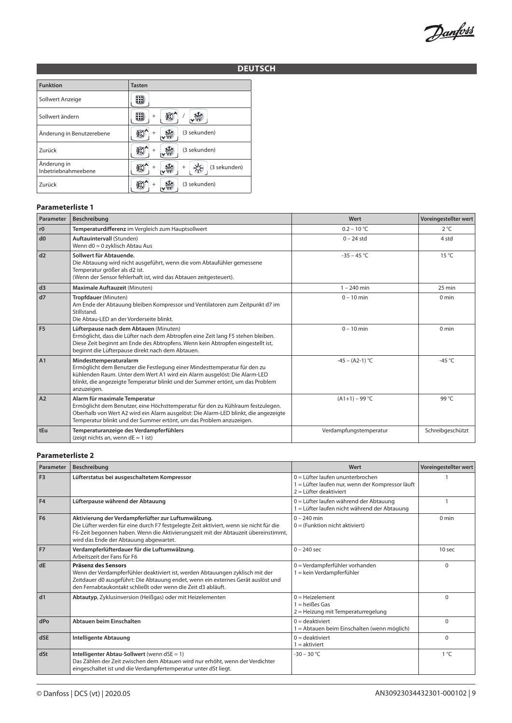Danfoss

# **DEUTSCH**

| <b>Funktion</b>                    | <b>Tasten</b>               |
|------------------------------------|-----------------------------|
| Sollwert Anzeige                   |                             |
| Sollwert ändern                    | $^{+}$                      |
| Änderung in Benutzerebene          | (3 sekunden)                |
| Zurück                             | (3 sekunden)                |
| Änderung in<br>Inbetriebnahmeebene | (3 sekunden)<br>$^{+}$<br>÷ |
| Zurück                             | (3 sekunden)                |

#### **Parameterliste 1**

| Parameter      | Beschreibung                                                                                                                                                                                                                                                                      | Wert                   | Voreingestellter wert |
|----------------|-----------------------------------------------------------------------------------------------------------------------------------------------------------------------------------------------------------------------------------------------------------------------------------|------------------------|-----------------------|
| r0             | Temperaturdifferenz im Vergleich zum Hauptsollwert                                                                                                                                                                                                                                | $0.2 - 10 °C$          | $2^{\circ}C$          |
| d0             | Auftauintervall (Stunden)<br>Wenn d0 = 0 zyklisch Abtau Aus                                                                                                                                                                                                                       | $0 - 24$ std           | 4 std                 |
| d2             | Sollwert für Abtauende.<br>Die Abtauung wird nicht ausgeführt, wenn die vom Abtaufühler gemessene<br>Temperatur größer als d2 ist.<br>(Wenn der Sensor fehlerhaft ist, wird das Abtauen zeitgesteuert).                                                                           | $-35 - 45$ °C          | $15^{\circ}$ C        |
| d3             | Maximale Auftauzeit (Minuten)                                                                                                                                                                                                                                                     | $1 - 240$ min          | $25 \text{ min}$      |
| d7             | Tropfdauer (Minuten)<br>Am Ende der Abtauung bleiben Kompressor und Ventilatoren zum Zeitpunkt d7 im<br>Stillstand.<br>Die Abtau-LED an der Vorderseite blinkt.                                                                                                                   | $0 - 10$ min           | $0 \text{ min}$       |
| F <sub>5</sub> | Lüfterpause nach dem Abtauen (Minuten)<br>Ermöglicht, dass die Lüfter nach dem Abtropfen eine Zeit lang F5 stehen bleiben.<br>Diese Zeit beginnt am Ende des Abtropfens. Wenn kein Abtropfen eingestellt ist,<br>beginnt die Lüfterpause direkt nach dem Abtauen.                 | $0 - 10$ min           | $0 \text{ min}$       |
| A1             | Mindesttemperaturalarm<br>Ermöglicht dem Benutzer die Festlegung einer Mindesttemperatur für den zu<br>kühlenden Raum. Unter dem Wert A1 wird ein Alarm ausgelöst: Die Alarm-LED<br>blinkt, die angezeigte Temperatur blinkt und der Summer ertönt, um das Problem<br>anzuzeigen. | $-45 - (A2-1) °C$      | $-45^{\circ}$ C       |
| A2             | Alarm für maximale Temperatur<br>Ermöglicht dem Benutzer, eine Höchsttemperatur für den zu Kühlraum festzulegen.<br>Oberhalb von Wert A2 wird ein Alarm ausgelöst: Die Alarm-LED blinkt, die angezeigte<br>Temperatur blinkt und der Summer ertönt, um das Problem anzuzeigen.    | $(A1+1) - 99$ °C       | 99 °C                 |
| tEu            | Temperaturanzeige des Verdampferfühlers<br>(zeigt nichts an, wenn $dE = 1$ ist)                                                                                                                                                                                                   | Verdampfungstemperatur | Schreibgeschützt      |

#### **Parameterliste 2**

| Parameter      | Beschreibung                                                                                                                                                                                                                                                                  | Wert                                                                                                               | Voreingestellter wert |
|----------------|-------------------------------------------------------------------------------------------------------------------------------------------------------------------------------------------------------------------------------------------------------------------------------|--------------------------------------------------------------------------------------------------------------------|-----------------------|
| F <sub>3</sub> | Lüfterstatus bei ausgeschaltetem Kompressor                                                                                                                                                                                                                                   | $0 =$ Lüfter laufen ununterbrochen<br>1 = Lüfter laufen nur, wenn der Kompressor läuft<br>$2 =$ Lüfter deaktiviert |                       |
| F4             | Lüfterpause während der Abtauung                                                                                                                                                                                                                                              | 0 = Lüfter laufen während der Abtauung<br>1 = Lüfter laufen nicht während der Abtauung                             |                       |
| F <sub>6</sub> | Aktivierung der Verdampferlüfter zur Luftumwälzung.<br>Die Lüfter werden für eine durch F7 festgelegte Zeit aktiviert, wenn sie nicht für die<br>F6-Zeit begonnen haben. Wenn die Aktivierungszeit mit der Abtauzeit übereinstimmt,<br>wird das Ende der Abtauung abgewartet. | $0 - 240$ min<br>$0 =$ (Funktion nicht aktiviert)                                                                  | $0 \text{ min}$       |
| <b>F7</b>      | Verdampferlüfterdauer für die Luftumwälzung.<br>Arbeitszeit der Fans für F6                                                                                                                                                                                                   | $0 - 240$ sec                                                                                                      | 10 <sub>sec</sub>     |
| dE             | Präsenz des Sensors<br>Wenn der Verdampferfühler deaktiviert ist, werden Abtauungen zyklisch mit der<br>Zeitdauer d0 ausgeführt: Die Abtauung endet, wenn ein externes Gerät auslöst und<br>den Fernabtaukontakt schließt oder wenn die Zeit d3 abläuft.                      | $0 =$ Verdampferfühler vorhanden<br>ekein Verdampferfühler                                                         | $\Omega$              |
| d1             | Abtautyp, Zyklusinversion (Heißgas) oder mit Heizelementen                                                                                                                                                                                                                    | $0 = Heizelement$<br>$1 =$ heißes Gas<br>2 = Heizung mit Temperaturregelung                                        | $\Omega$              |
| dPo            | Abtauen beim Einschalten                                                                                                                                                                                                                                                      | $0 =$ deaktiviert<br>1 = Abtauen beim Einschalten (wenn möglich)                                                   | $\Omega$              |
| dSE            | <b>Intelligente Abtauung</b>                                                                                                                                                                                                                                                  | $0 =$ deaktiviert<br>$1 =$ aktiviert                                                                               | $\Omega$              |
| dSt            | Intelligenter Abtau-Sollwert (wenn dSE = 1)<br>Das Zählen der Zeit zwischen dem Abtauen wird nur erhöht, wenn der Verdichter<br>eingeschaltet ist und die Verdampfertemperatur unter dSt liegt.                                                                               | $-30 - 30 °C$                                                                                                      | $1^{\circ}C$          |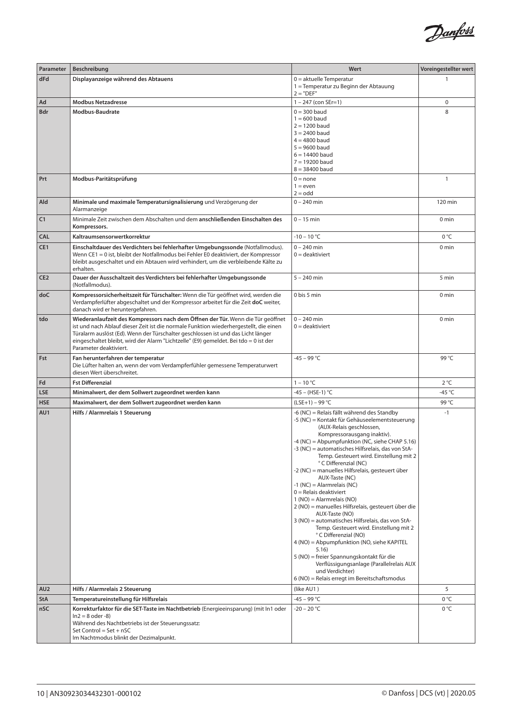

| Parameter       | Beschreibung                                                                                                                                                                                                                                                                                                                                                                   | Wert                                                                                                                                                                                                                                                                                                                                                                                                                                                                                                                                                                                                                                                                                                                                                                                                                                                                                                               | Voreingestellter wert |
|-----------------|--------------------------------------------------------------------------------------------------------------------------------------------------------------------------------------------------------------------------------------------------------------------------------------------------------------------------------------------------------------------------------|--------------------------------------------------------------------------------------------------------------------------------------------------------------------------------------------------------------------------------------------------------------------------------------------------------------------------------------------------------------------------------------------------------------------------------------------------------------------------------------------------------------------------------------------------------------------------------------------------------------------------------------------------------------------------------------------------------------------------------------------------------------------------------------------------------------------------------------------------------------------------------------------------------------------|-----------------------|
| dFd             | Displayanzeige während des Abtauens                                                                                                                                                                                                                                                                                                                                            | $0 =$ aktuelle Temperatur<br>1 = Temperatur zu Beginn der Abtauung<br>$2 = "DEF"$                                                                                                                                                                                                                                                                                                                                                                                                                                                                                                                                                                                                                                                                                                                                                                                                                                  |                       |
| Ad              | <b>Modbus Netzadresse</b>                                                                                                                                                                                                                                                                                                                                                      | $1 - 247$ (con SEr=1)                                                                                                                                                                                                                                                                                                                                                                                                                                                                                                                                                                                                                                                                                                                                                                                                                                                                                              | $\mathbf 0$           |
| Bdr             | Modbus-Baudrate                                                                                                                                                                                                                                                                                                                                                                | $0 = 300$ baud<br>$1 = 600$ baud<br>$2 = 1200$ baud<br>$3 = 2400$ baud<br>$4 = 4800$ baud<br>$5 = 9600$ baud<br>$6 = 14400$ baud<br>$7 = 19200$ baud<br>$8 = 38400$ baud                                                                                                                                                                                                                                                                                                                                                                                                                                                                                                                                                                                                                                                                                                                                           | 8                     |
| Prt             | Modbus-Paritätsprüfung                                                                                                                                                                                                                                                                                                                                                         | $0 = none$<br>$1 = even$<br>$2 =$ odd                                                                                                                                                                                                                                                                                                                                                                                                                                                                                                                                                                                                                                                                                                                                                                                                                                                                              | $\mathbf{1}$          |
| Ald             | Minimale und maximale Temperatursignalisierung und Verzögerung der<br>Alarmanzeige                                                                                                                                                                                                                                                                                             | $0 - 240$ min                                                                                                                                                                                                                                                                                                                                                                                                                                                                                                                                                                                                                                                                                                                                                                                                                                                                                                      | 120 min               |
| C1              | Minimale Zeit zwischen dem Abschalten und dem anschließenden Einschalten des<br>Kompressors.                                                                                                                                                                                                                                                                                   | $0 - 15$ min                                                                                                                                                                                                                                                                                                                                                                                                                                                                                                                                                                                                                                                                                                                                                                                                                                                                                                       | 0 min                 |
| <b>CAL</b>      | Kaltraumsensorwertkorrektur                                                                                                                                                                                                                                                                                                                                                    | $-10 - 10 °C$                                                                                                                                                                                                                                                                                                                                                                                                                                                                                                                                                                                                                                                                                                                                                                                                                                                                                                      | 0 °C                  |
| CE1             | Einschaltdauer des Verdichters bei fehlerhafter Umgebungssonde (Notfallmodus).<br>Wenn CE1 = 0 ist, bleibt der Notfallmodus bei Fehler E0 deaktiviert, der Kompressor<br>bleibt ausgeschaltet und ein Abtauen wird verhindert, um die verbleibende Kälte zu<br>erhalten.                                                                                                       | $0 - 240$ min<br>$0 =$ deaktiviert                                                                                                                                                                                                                                                                                                                                                                                                                                                                                                                                                                                                                                                                                                                                                                                                                                                                                 | 0 <sub>min</sub>      |
| CE <sub>2</sub> | Dauer der Ausschaltzeit des Verdichters bei fehlerhafter Umgebungssonde<br>(Notfallmodus).                                                                                                                                                                                                                                                                                     | $5 - 240$ min                                                                                                                                                                                                                                                                                                                                                                                                                                                                                                                                                                                                                                                                                                                                                                                                                                                                                                      | 5 min                 |
| doC             | Kompressorsicherheitszeit für Türschalter: Wenn die Tür geöffnet wird, werden die<br>Verdampferlüfter abgeschaltet und der Kompressor arbeitet für die Zeit doC weiter,<br>danach wird er heruntergefahren.                                                                                                                                                                    | 0 bis 5 min                                                                                                                                                                                                                                                                                                                                                                                                                                                                                                                                                                                                                                                                                                                                                                                                                                                                                                        | 0 <sub>min</sub>      |
| tdo             | Wiederanlaufzeit des Kompressors nach dem Öffnen der Tür. Wenn die Tür geöffnet<br>ist und nach Ablauf dieser Zeit ist die normale Funktion wiederhergestellt, die einen<br>Türalarm auslöst (Ed). Wenn der Türschalter geschlossen ist und das Licht länger<br>eingeschaltet bleibt, wird der Alarm "Lichtzelle" (E9) gemeldet. Bei tdo = 0 ist der<br>Parameter deaktiviert. | $0 - 240$ min<br>$0 =$ deaktiviert                                                                                                                                                                                                                                                                                                                                                                                                                                                                                                                                                                                                                                                                                                                                                                                                                                                                                 | 0 <sub>min</sub>      |
| Fst             | Fan herunterfahren der temperatur<br>Die Lüfter halten an, wenn der vom Verdampferfühler gemessene Temperaturwert<br>diesen Wert überschreitet.                                                                                                                                                                                                                                | $-45 - 99 °C$                                                                                                                                                                                                                                                                                                                                                                                                                                                                                                                                                                                                                                                                                                                                                                                                                                                                                                      | 99 °C                 |
| Fd              | <b>Fst Differenzial</b>                                                                                                                                                                                                                                                                                                                                                        | $1 - 10 °C$                                                                                                                                                                                                                                                                                                                                                                                                                                                                                                                                                                                                                                                                                                                                                                                                                                                                                                        | $2^{\circ}C$          |
| <b>LSE</b>      | Minimalwert, der dem Sollwert zugeordnet werden kann                                                                                                                                                                                                                                                                                                                           | -45 – (HSE-1) °C                                                                                                                                                                                                                                                                                                                                                                                                                                                                                                                                                                                                                                                                                                                                                                                                                                                                                                   | -45 $^{\circ}$ C      |
| <b>HSE</b>      | Maximalwert, der dem Sollwert zugeordnet werden kann                                                                                                                                                                                                                                                                                                                           | $(LSE+1) - 99 °C$                                                                                                                                                                                                                                                                                                                                                                                                                                                                                                                                                                                                                                                                                                                                                                                                                                                                                                  | 99 °C                 |
| AU1             | Hilfs / Alarmrelais 1 Steuerung                                                                                                                                                                                                                                                                                                                                                | -6 (NC) = Relais fällt während des Standby<br>-5 (NC) = Kontakt für Gehäuseelementsteuerung<br>(AUX-Relais geschlossen,<br>Kompressorausgang inaktiv).<br>-4 (NC) = Abpumpfunktion (NC, siehe CHAP 5.16)<br>-3 (NC) = automatisches Hilfsrelais, das von StA-<br>Temp. Gesteuert wird. Einstellung mit 2<br>° C Differenzial (NC)<br>-2 (NC) = manuelles Hilfsrelais, gesteuert über<br>AUX-Taste (NC)<br>$-1$ (NC) = Alarmrelais (NC)<br>$0 =$ Relais deaktiviert<br>$1 (NO) =$ Alarmrelais (NO)<br>2 (NO) = manuelles Hilfsrelais, gesteuert über die<br>AUX-Taste (NO)<br>3 (NO) = automatisches Hilfsrelais, das von StA-<br>Temp. Gesteuert wird. Einstellung mit 2<br>°C Differenzial (NO)<br>4 (NO) = Abpumpfunktion (NO, siehe KAPITEL<br>5.16)<br>5 (NO) = freier Spannungskontakt für die<br>Verflüssigungsanlage (Parallelrelais AUX<br>und Verdichter)<br>6 (NO) = Relais erregt im Bereitschaftsmodus | $-1$                  |
| AU <sub>2</sub> | Hilfs / Alarmrelais 2 Steuerung                                                                                                                                                                                                                                                                                                                                                | (like AU1)                                                                                                                                                                                                                                                                                                                                                                                                                                                                                                                                                                                                                                                                                                                                                                                                                                                                                                         | 5                     |
| <b>StA</b>      | Temperatureinstellung für Hilfsrelais                                                                                                                                                                                                                                                                                                                                          | -45 – 99 °C                                                                                                                                                                                                                                                                                                                                                                                                                                                                                                                                                                                                                                                                                                                                                                                                                                                                                                        | 0 °C                  |
| nSC             | Korrekturfaktor für die SET-Taste im Nachtbetrieb (Energieeinsparung) (mit In1 oder<br>$ln2 = 8$ oder -8)<br>Während des Nachtbetriebs ist der Steuerungssatz:<br>Set Control = $Set + nSC$<br>Im Nachtmodus blinkt der Dezimalpunkt.                                                                                                                                          | $-20 - 20 °C$                                                                                                                                                                                                                                                                                                                                                                                                                                                                                                                                                                                                                                                                                                                                                                                                                                                                                                      | 0 °C                  |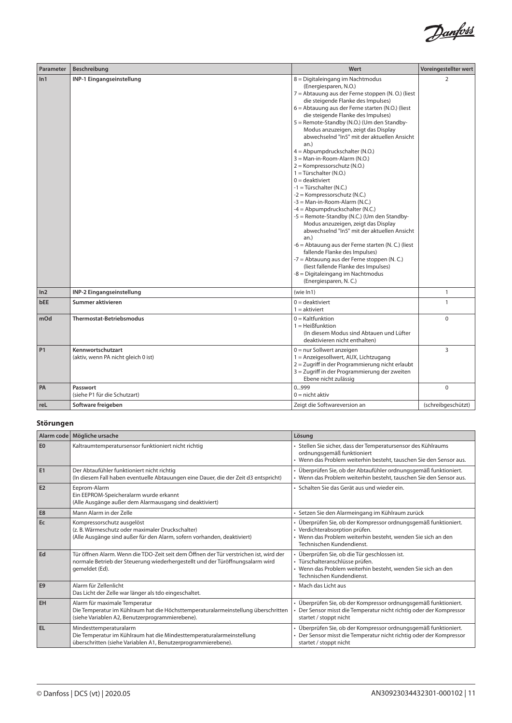

| Parameter       | Beschreibung                                             | Wert                                                                                                                                                                                                                                                                                                                                                                                                                                                                                                                                                                                                                                                                                                                                                                                                                                                                                                                                                                                                                                                                  | Voreingestellter wert |
|-----------------|----------------------------------------------------------|-----------------------------------------------------------------------------------------------------------------------------------------------------------------------------------------------------------------------------------------------------------------------------------------------------------------------------------------------------------------------------------------------------------------------------------------------------------------------------------------------------------------------------------------------------------------------------------------------------------------------------------------------------------------------------------------------------------------------------------------------------------------------------------------------------------------------------------------------------------------------------------------------------------------------------------------------------------------------------------------------------------------------------------------------------------------------|-----------------------|
| ln1             | INP-1 Eingangseinstellung                                | 8 = Digitaleingang im Nachtmodus<br>(Energiesparen, N.O.)<br>7 = Abtauung aus der Ferne stoppen (N. O.) (liest<br>die steigende Flanke des Impulses)<br>6 = Abtauung aus der Ferne starten (N.O.) (liest<br>die steigende Flanke des Impulses)<br>5 = Remote-Standby (N.O.) (Um den Standby-<br>Modus anzuzeigen, zeigt das Display<br>abwechselnd "In5" mit der aktuellen Ansicht<br>an.)<br>4 = Abpumpdruckschalter (N.O.)<br>3 = Man-in-Room-Alarm (N.O.)<br>2 = Kompressorschutz (N.O.)<br>1 = Türschalter (N.O.)<br>$0 =$ deaktiviert<br>$-1 =$ Türschalter (N.C.)<br>-2 = Kompressorschutz (N.C.)<br>-3 = Man-in-Room-Alarm (N.C.)<br>$-4 =$ Abpumpdruckschalter (N.C.)<br>-5 = Remote-Standby (N.C.) (Um den Standby-<br>Modus anzuzeigen, zeigt das Display<br>abwechselnd "In5" mit der aktuellen Ansicht<br>an.)<br>-6 = Abtauung aus der Ferne starten (N. C.) (liest<br>fallende Flanke des Impulses)<br>-7 = Abtauung aus der Ferne stoppen (N.C.)<br>(liest fallende Flanke des Impulses)<br>-8 = Digitaleingang im Nachtmodus<br>(Energiesparen, N.C.) | $\overline{2}$        |
| ln <sub>2</sub> | INP-2 Eingangseinstellung                                | (wie In1)                                                                                                                                                                                                                                                                                                                                                                                                                                                                                                                                                                                                                                                                                                                                                                                                                                                                                                                                                                                                                                                             | $\mathbf{1}$          |
| <b>bEE</b>      | Summer aktivieren                                        | $0 =$ deaktiviert<br>$1 =$ aktiviert                                                                                                                                                                                                                                                                                                                                                                                                                                                                                                                                                                                                                                                                                                                                                                                                                                                                                                                                                                                                                                  | $\mathbf{1}$          |
| mOd             | <b>Thermostat-Betriebsmodus</b>                          | $0 =$ Kaltfunktion<br>$1 = Heißfunktion$<br>(In diesem Modus sind Abtauen und Lüfter<br>deaktivieren nicht enthalten)                                                                                                                                                                                                                                                                                                                                                                                                                                                                                                                                                                                                                                                                                                                                                                                                                                                                                                                                                 | $\mathbf 0$           |
| P <sub>1</sub>  | Kennwortschutzart<br>(aktiv, wenn PA nicht gleich 0 ist) | $0 =$ nur Sollwert anzeigen<br>1 = Anzeigesollwert, AUX, Lichtzugang<br>2 = Zugriff in der Programmierung nicht erlaubt<br>3 = Zugriff in der Programmierung der zweiten<br>Ebene nicht zulässig                                                                                                                                                                                                                                                                                                                                                                                                                                                                                                                                                                                                                                                                                                                                                                                                                                                                      | 3                     |
| PA              | Passwort<br>(siehe P1 für die Schutzart)                 | 0999<br>$0 = \text{nicht aktiv}$                                                                                                                                                                                                                                                                                                                                                                                                                                                                                                                                                                                                                                                                                                                                                                                                                                                                                                                                                                                                                                      | $\Omega$              |
| reL             | Software freigeben                                       | Zeigt die Softwareversion an                                                                                                                                                                                                                                                                                                                                                                                                                                                                                                                                                                                                                                                                                                                                                                                                                                                                                                                                                                                                                                          | (schreibgeschützt)    |

# **Störungen**

|                | Alarm code   Mögliche ursache                                                                                                                                                            | Lösung                                                                                                                                                                                         |
|----------------|------------------------------------------------------------------------------------------------------------------------------------------------------------------------------------------|------------------------------------------------------------------------------------------------------------------------------------------------------------------------------------------------|
| E <sub>0</sub> | Kaltraumtemperatursensor funktioniert nicht richtig                                                                                                                                      | · Stellen Sie sicher, dass der Temperatursensor des Kühlraums<br>ordnungsgemäß funktioniert<br>• Wenn das Problem weiterhin besteht, tauschen Sie den Sensor aus.                              |
| E1             | Der Abtaufühler funktioniert nicht richtig<br>(In diesem Fall haben eventuelle Abtauungen eine Dauer, die der Zeit d3 entspricht)                                                        | · Überprüfen Sie, ob der Abtaufühler ordnungsgemäß funktioniert.<br>• Wenn das Problem weiterhin besteht, tauschen Sie den Sensor aus.                                                         |
| E <sub>2</sub> | Eeprom-Alarm<br>Ein EEPROM-Speicheralarm wurde erkannt<br>(Alle Ausgänge außer dem Alarmausgang sind deaktiviert)                                                                        | · Schalten Sie das Gerät aus und wieder ein.                                                                                                                                                   |
| E <sub>8</sub> | Mann Alarm in der Zelle                                                                                                                                                                  | · Setzen Sie den Alarmeingang im Kühlraum zurück                                                                                                                                               |
| Ec             | Kompressorschutz ausgelöst<br>(z. B. Wärmeschutz oder maximaler Druckschalter)<br>(Alle Ausgänge sind außer für den Alarm, sofern vorhanden, deaktiviert)                                | · Überprüfen Sie, ob der Kompressor ordnungsgemäß funktioniert.<br>· Verdichterabsorption prüfen.<br>• Wenn das Problem weiterhin besteht, wenden Sie sich an den<br>Technischen Kundendienst. |
| Ed             | Tür öffnen Alarm. Wenn die TDO-Zeit seit dem Öffnen der Tür verstrichen ist, wird der<br>normale Betrieb der Steuerung wiederhergestellt und der Türöffnungsalarm wird<br>gemeldet (Ed). | • Überprüfen Sie, ob die Tür geschlossen ist.<br>· Türschalteranschlüsse prüfen.<br>• Wenn das Problem weiterhin besteht, wenden Sie sich an den<br>Technischen Kundendienst.                  |
| E <sub>9</sub> | Alarm für Zellenlicht<br>Das Licht der Zelle war länger als tdo eingeschaltet.                                                                                                           | • Mach das Licht aus                                                                                                                                                                           |
| EH             | Alarm für maximale Temperatur<br>Die Temperatur im Kühlraum hat die Höchsttemperaturalarmeinstellung überschritten<br>(siehe Variablen A2, Benutzerprogrammierebene).                    | · Überprüfen Sie, ob der Kompressor ordnungsgemäß funktioniert.<br>Der Sensor misst die Temperatur nicht richtig oder der Kompressor<br>startet / stoppt nicht                                 |
| <b>EL</b>      | Mindesttemperaturalarm<br>Die Temperatur im Kühlraum hat die Mindesttemperaturalarmeinstellung<br>überschritten (siehe Variablen A1, Benutzerprogrammierebene).                          | · Überprüfen Sie, ob der Kompressor ordnungsgemäß funktioniert.<br>Der Sensor misst die Temperatur nicht richtig oder der Kompressor<br>startet / stoppt nicht                                 |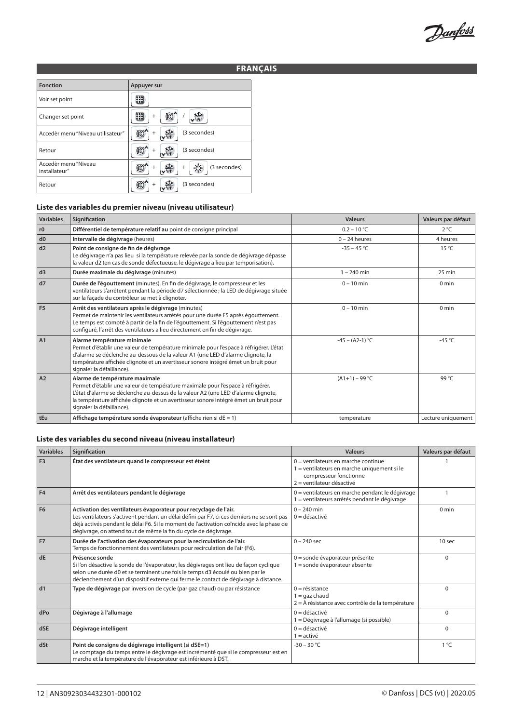Danfoss

# **FRANÇAIS**

| <b>Fonction</b>                       | Appuyer sur            |
|---------------------------------------|------------------------|
| Voir set point                        |                        |
| Changer set point                     | $\ddot{}$              |
| Accedèr menu "Niveau utilisateur"     | (3 secondes)<br>$^{+}$ |
| Retour                                | (3 secondes)<br>÷      |
| Accedèr menu "Niveau<br>installateur" | (3 secondes)<br>$^{+}$ |
| Retour                                | (3 secondes)           |

#### **Liste des variables du premier niveau (niveau utilisateur)**

| <b>Variables</b> | Signification                                                                                                                                                                                                                                                                                                                | <b>Valeurs</b>    | Valeurs par défaut |
|------------------|------------------------------------------------------------------------------------------------------------------------------------------------------------------------------------------------------------------------------------------------------------------------------------------------------------------------------|-------------------|--------------------|
| r0               | Différentiel de température relatif au point de consigne principal                                                                                                                                                                                                                                                           | $0.2 - 10 °C$     | $2^{\circ}C$       |
| d0               | Intervalle de dégivrage (heures)                                                                                                                                                                                                                                                                                             | $0 - 24$ heures   | 4 heures           |
| d2               | Point de consigne de fin de dégivrage<br>Le dégivrage n'a pas lieu si la température relevée par la sonde de dégivrage dépasse<br>la valeur d2 (en cas de sonde défectueuse, le dégivrage a lieu par temporisation).                                                                                                         | $-35 - 45 °C$     | 15 °C              |
| d3               | Durée maximale du dégivrage (minutes)                                                                                                                                                                                                                                                                                        | $1 - 240$ min     | 25 min             |
| d7               | Durée de l'égouttement (minutes). En fin de dégivrage, le compresseur et les<br>ventilateurs s'arrêtent pendant la période d7 sélectionnée ; la LED de dégivrage située<br>sur la façade du contrôleur se met à clignoter.                                                                                                   | $0 - 10$ min      | 0 min              |
| F <sub>5</sub>   | Arrêt des ventilateurs après le dégivrage (minutes)<br>Permet de maintenir les ventilateurs arrêtés pour une durée F5 après égouttement.<br>Le temps est compté à partir de la fin de l'égouttement. Si l'égouttement n'est pas<br>configuré, l'arrêt des ventilateurs a lieu directement en fin de dégivrage.               | $0 - 10$ min      | $0 \text{ min}$    |
| A1               | Alarme température minimale<br>Permet d'établir une valeur de température minimale pour l'espace à réfrigérer. L'état<br>d'alarme se déclenche au-dessous de la valeur A1 (une LED d'alarme clignote, la<br>température affichée clignote et un avertisseur sonore intégré émet un bruit pour<br>signaler la défaillance).   | $-45 - (A2-1) °C$ | $-45^{\circ}$ C    |
| A2               | Alarme de température maximale<br>Permet d'établir une valeur de température maximale pour l'espace à réfrigérer.<br>L'état d'alarme se déclenche au-dessus de la valeur A2 (une LED d'alarme clignote,<br>la température affichée clignote et un avertisseur sonore intégré émet un bruit pour<br>signaler la défaillance). | $(A1+1) - 99$ °C  | 99 °C              |
| tEu              | Affichage température sonde évaporateur (affiche rien si $dE = 1$ )                                                                                                                                                                                                                                                          | temperature       | Lecture uniquement |

#### **Liste des variables du second niveau (niveau installateur)**

| <b>Variables</b> | Signification                                                                                                                                                                                                                                                                                                                 | <b>Valeurs</b>                                                                                                                              | Valeurs par défaut |
|------------------|-------------------------------------------------------------------------------------------------------------------------------------------------------------------------------------------------------------------------------------------------------------------------------------------------------------------------------|---------------------------------------------------------------------------------------------------------------------------------------------|--------------------|
| F <sub>3</sub>   | État des ventilateurs quand le compresseur est éteint                                                                                                                                                                                                                                                                         | $0 =$ ventilateurs en marche continue<br>1 = ventilateurs en marche uniquement si le<br>compresseur fonctionne<br>2 = ventilateur désactivé |                    |
| F <sub>4</sub>   | Arrêt des ventilateurs pendant le dégivrage                                                                                                                                                                                                                                                                                   | 0 = ventilateurs en marche pendant le dégivrage<br>1 = ventilateurs arrêtés pendant le dégivrage                                            |                    |
| F <sub>6</sub>   | Activation des ventilateurs évaporateur pour recyclage de l'air.<br>Les ventilateurs s'activent pendant un délai défini par F7, ci ces derniers ne se sont pas<br>déjà activés pendant le délai F6. Si le moment de l'activation coïncide avec la phase de<br>dégivrage, on attend tout de même la fin du cycle de dégivrage. | $0 - 240$ min<br>$0 =$ désactivé                                                                                                            | $0 \text{ min}$    |
| F <sub>7</sub>   | Durée de l'activation des évaporateurs pour la recirculation de l'air.<br>Temps de fonctionnement des ventilateurs pour recirculation de l'air (F6).                                                                                                                                                                          | $0 - 240$ sec                                                                                                                               | 10 sec             |
| dE               | Présence sonde<br>Si l'on désactive la sonde de l'évaporateur, les dégivrages ont lieu de façon cyclique<br>selon une durée d0 et se terminent une fois le temps d3 écoulé ou bien par le<br>déclenchement d'un dispositif externe qui ferme le contact de dégivrage à distance.                                              | $0 =$ sonde évaporateur présente<br>1 = sonde évaporateur absente                                                                           | $\Omega$           |
| d1               | Type de dégivrage par inversion de cycle (par gaz chaud) ou par résistance                                                                                                                                                                                                                                                    | $0 =$ résistance<br>$1 = q$ az chaud<br>$2 =$ À résistance avec contrôle de la température                                                  | $\Omega$           |
| dPo              | Dégivrage à l'allumage                                                                                                                                                                                                                                                                                                        | $0 =$ désactivé<br>1 = Dégivrage à l'allumage (si possible)                                                                                 | $\Omega$           |
| dSE              | Dégivrage intelligent                                                                                                                                                                                                                                                                                                         | $0 =$ désactivé<br>$1 =$ activé                                                                                                             | $\Omega$           |
| dSt              | Point de consigne de dégivrage intelligent (si dSE=1)<br>Le comptage du temps entre le dégivrage est incrémenté que si le compresseur est en<br>marche et la température de l'évaporateur est inférieure à DST.                                                                                                               | $-30 - 30$ °C                                                                                                                               | $1^{\circ}C$       |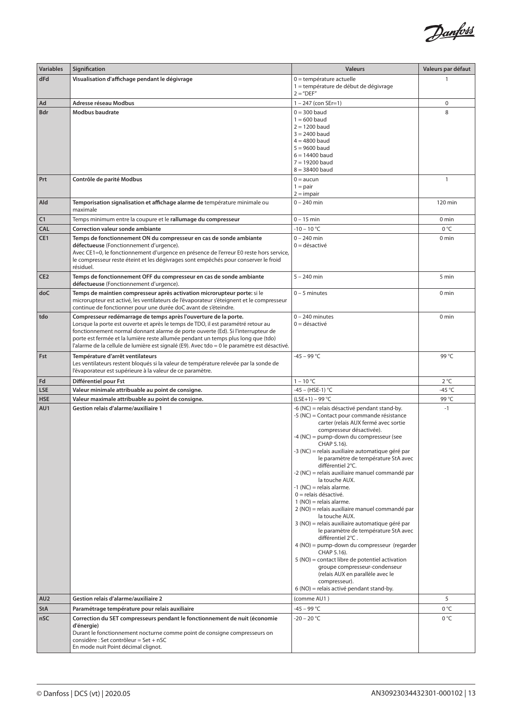

| <b>Variables</b>              | Signification                                                                                                                                                                                                                           | <b>Valeurs</b>                                                                           | Valeurs par défaut               |
|-------------------------------|-----------------------------------------------------------------------------------------------------------------------------------------------------------------------------------------------------------------------------------------|------------------------------------------------------------------------------------------|----------------------------------|
| dFd                           | Visualisation d'affichage pendant le dégivrage                                                                                                                                                                                          | 0 = température actuelle<br>1 = température de début de dégivrage<br>$2 = "DEF"$         | 1                                |
| Ad                            | Adresse réseau Modbus                                                                                                                                                                                                                   | $1 - 247$ (con SEr=1)                                                                    | 0                                |
| <b>Bdr</b>                    | Modbus baudrate                                                                                                                                                                                                                         | $0 = 300$ baud<br>$1 = 600$ baud                                                         | 8                                |
|                               |                                                                                                                                                                                                                                         | $2 = 1200$ baud<br>$3 = 2400$ baud                                                       |                                  |
|                               |                                                                                                                                                                                                                                         | $4 = 4800$ baud                                                                          |                                  |
|                               |                                                                                                                                                                                                                                         | $5 = 9600$ baud<br>$6 = 14400$ baud                                                      |                                  |
|                               |                                                                                                                                                                                                                                         | $7 = 19200$ baud                                                                         |                                  |
| Prt                           | Contrôle de parité Modbus                                                                                                                                                                                                               | $8 = 38400$ baud<br>$0 = \text{aucun}$                                                   | $\mathbf{1}$                     |
|                               |                                                                                                                                                                                                                                         | $1 = pair$                                                                               |                                  |
| Ald                           | Temporisation signalisation et affichage alarme de température minimale ou                                                                                                                                                              | $2 = impair$<br>$0 - 240$ min                                                            | 120 min                          |
|                               | maximale                                                                                                                                                                                                                                |                                                                                          |                                  |
| C1                            | Temps minimum entre la coupure et le rallumage du compresseur                                                                                                                                                                           | $0 - 15$ min                                                                             | 0 min                            |
| <b>CAL</b><br>CE <sub>1</sub> | <b>Correction valeur sonde ambiante</b><br>Temps de fonctionnement ON du compresseur en cas de sonde ambiante                                                                                                                           | $-10 - 10 °C$<br>$0 - 240$ min                                                           | 0 °C<br>0 <sub>min</sub>         |
|                               | défectueuse (Fonctionnement d'urgence).                                                                                                                                                                                                 | $0 =$ désactivé                                                                          |                                  |
|                               | Avec CE1=0, le fonctionnement d'urgence en présence de l'erreur E0 reste hors service,<br>le compresseur reste éteint et les dégivrages sont empêchés pour conserver le froid<br>résiduel.                                              |                                                                                          |                                  |
| CE <sub>2</sub>               | Temps de fonctionnement OFF du compresseur en cas de sonde ambiante<br>défectueuse (Fonctionnement d'urgence).                                                                                                                          | $5 - 240$ min                                                                            | 5 min                            |
| doC                           | Temps de maintien compresseur après activation microrupteur porte: si le<br>microrupteur est activé, les ventilateurs de l'évaporateur s'éteignent et le compresseur<br>continue de fonctionner pour une durée doC avant de s'éteindre. | $0 - 5$ minutes                                                                          | 0 min                            |
| tdo                           | Compresseur redémarrage de temps après l'ouverture de la porte.<br>Lorsque la porte est ouverte et après le temps de TDO, il est paramétré retour au                                                                                    | $0 - 240$ minutes<br>$0 =$ désactivé                                                     | 0 <sub>min</sub>                 |
|                               | fonctionnement normal donnant alarme de porte ouverte (Ed). Si l'interrupteur de                                                                                                                                                        |                                                                                          |                                  |
|                               | porte est fermée et la lumière reste allumée pendant un temps plus long que (tdo)<br>l'alarme de la cellule de lumière est signalé (E9). Avec tdo = 0 le paramètre est désactivé.                                                       |                                                                                          |                                  |
| Fst                           | Température d'arrêt ventilateurs                                                                                                                                                                                                        | $-45 - 99 °C$                                                                            | 99 °C                            |
|                               | Les ventilateurs restent bloqués si la valeur de température relevée par la sonde de<br>l'évaporateur est supérieure à la valeur de ce paramètre.                                                                                       |                                                                                          |                                  |
| Fd                            | Différentiel pour Fst                                                                                                                                                                                                                   | $1 - 10 °C$                                                                              | $2^{\circ}C$<br>-45 $^{\circ}$ C |
| <b>LSE</b><br><b>HSE</b>      | Valeur minimale attribuable au point de consigne.<br>Valeur maximale attribuable au point de consigne.                                                                                                                                  | -45 - (HSE-1) °C<br>$(LSE+1) - 99 °C$                                                    | 99 °C                            |
| AU1                           | Gestion relais d'alarme/auxiliaire 1                                                                                                                                                                                                    | -6 (NC) = relais désactivé pendant stand-by.                                             | $-1$                             |
|                               |                                                                                                                                                                                                                                         | -5 (NC) = Contact pour commande résistance<br>carter (relais AUX fermé avec sortie       |                                  |
|                               |                                                                                                                                                                                                                                         | compresseur désactivée).                                                                 |                                  |
|                               |                                                                                                                                                                                                                                         | -4 (NC) = pump-down du compresseur (see<br>CHAP 5.16).                                   |                                  |
|                               |                                                                                                                                                                                                                                         | -3 (NC) = relais auxiliaire automatique géré par<br>le paramètre de température StA avec |                                  |
|                               |                                                                                                                                                                                                                                         | différentiel 2°C.                                                                        |                                  |
|                               |                                                                                                                                                                                                                                         | -2 (NC) = relais auxiliaire manuel commandé par<br>la touche AUX.                        |                                  |
|                               |                                                                                                                                                                                                                                         | $-1$ (NC) = relais alarme.                                                               |                                  |
|                               |                                                                                                                                                                                                                                         | $0 =$ relais désactivé.<br>$1(NO)$ = relais alarme.                                      |                                  |
|                               |                                                                                                                                                                                                                                         | 2 (NO) = relais auxiliaire manuel commandé par<br>la touche AUX.                         |                                  |
|                               |                                                                                                                                                                                                                                         | 3 (NO) = relais auxiliaire automatique géré par                                          |                                  |
|                               |                                                                                                                                                                                                                                         | le paramètre de température StA avec<br>différentiel 2°C.                                |                                  |
|                               |                                                                                                                                                                                                                                         | 4 (NO) = pump-down du compresseur (regarder                                              |                                  |
|                               |                                                                                                                                                                                                                                         | CHAP 5.16).<br>5 (NO) = contact libre de potentiel activation                            |                                  |
|                               |                                                                                                                                                                                                                                         | groupe compresseur-condenseur<br>(relais AUX en parallèle avec le                        |                                  |
|                               |                                                                                                                                                                                                                                         | compresseur).                                                                            |                                  |
|                               |                                                                                                                                                                                                                                         | 6 (NO) = relais activé pendant stand-by.                                                 |                                  |
| AU <sub>2</sub><br><b>StA</b> | Gestion relais d'alarme/auxiliaire 2<br>Paramétrage température pour relais auxiliaire                                                                                                                                                  | (comme AU1)<br>-45 – 99 °C                                                               | 5<br>0 °C                        |
| nSC                           | Correction du SET compresseurs pendant le fonctionnement de nuit (économie                                                                                                                                                              | $-20 - 20 °C$                                                                            | 0 °C                             |
|                               | d'énergie)                                                                                                                                                                                                                              |                                                                                          |                                  |
|                               | Durant le fonctionnement nocturne comme point de consigne compresseurs on<br>considère : Set contrôleur = Set + nSC                                                                                                                     |                                                                                          |                                  |
|                               | En mode nuit Point décimal clignot.                                                                                                                                                                                                     |                                                                                          |                                  |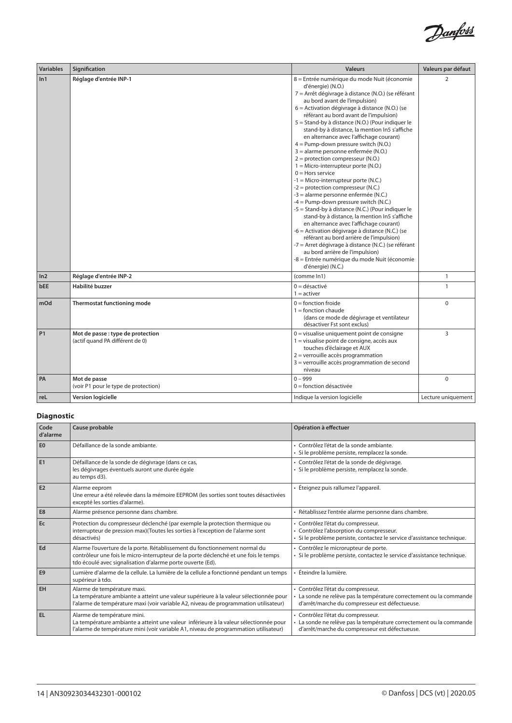

| <b>Variables</b> | Signification                                                        | <b>Valeurs</b>                                                                                                                                                                                                                                                                                                                                                                                                                                                                                                                                                                                                                                                                                                                                                                                                                                                                                                                                                                                                                                                                                                                                                               | Valeurs par défaut |
|------------------|----------------------------------------------------------------------|------------------------------------------------------------------------------------------------------------------------------------------------------------------------------------------------------------------------------------------------------------------------------------------------------------------------------------------------------------------------------------------------------------------------------------------------------------------------------------------------------------------------------------------------------------------------------------------------------------------------------------------------------------------------------------------------------------------------------------------------------------------------------------------------------------------------------------------------------------------------------------------------------------------------------------------------------------------------------------------------------------------------------------------------------------------------------------------------------------------------------------------------------------------------------|--------------------|
| ln 1             | Réglage d'entrée INP-1                                               | 8 = Entrée numérique du mode Nuit (économie<br>d'énergie) (N.O.)<br>7 = Arrêt dégivrage à distance (N.O.) (se référant<br>au bord avant de l'impulsion)<br>6 = Activation dégivrage à distance (N.O.) (se<br>référant au bord avant de l'impulsion)<br>5 = Stand-by à distance (N.O.) (Pour indiquer le<br>stand-by à distance, la mention In5 s'affiche<br>en alternance avec l'affichage courant)<br>4 = Pump-down pressure switch (N.O.)<br>3 = alarme personne enfermée (N.O.)<br>$2 =$ protection compresseur (N.O.)<br>$1 =$ Micro-interrupteur porte (N.O.)<br>$0 =$ Hors service<br>$-1$ = Micro-interrupteur porte (N.C.)<br>$-2$ = protection compresseur (N.C.)<br>-3 = alarme personne enfermée (N.C.)<br>$-4$ = Pump-down pressure switch (N.C.)<br>-5 = Stand-by à distance (N.C.) (Pour indiquer le<br>stand-by à distance, la mention In5 s'affiche<br>en alternance avec l'affichage courant)<br>-6 = Activation dégivrage à distance (N.C.) (se<br>référant au bord arrière de l'impulsion)<br>-7 = Arret dégivrage à distance (N.C.) (se référant<br>au bord arrière de l'impulsion)<br>-8 = Entrée numérique du mode Nuit (économie<br>d'énergie) (N.C.) | $\overline{2}$     |
| ln <sub>2</sub>  | Réglage d'entrée INP-2                                               | (comme In1)                                                                                                                                                                                                                                                                                                                                                                                                                                                                                                                                                                                                                                                                                                                                                                                                                                                                                                                                                                                                                                                                                                                                                                  | $\mathbf{1}$       |
| <b>bEE</b>       | Habilité buzzer                                                      | $0 =$ désactivé<br>$1 =$ activer                                                                                                                                                                                                                                                                                                                                                                                                                                                                                                                                                                                                                                                                                                                                                                                                                                                                                                                                                                                                                                                                                                                                             | $\mathbf{1}$       |
| mOd              | Thermostat functioning mode                                          | $0 =$ fonction froide<br>$1 =$ fonction chaude<br>(dans ce mode de dégivrage et ventilateur<br>désactiver Fst sont exclus)                                                                                                                                                                                                                                                                                                                                                                                                                                                                                                                                                                                                                                                                                                                                                                                                                                                                                                                                                                                                                                                   | $\mathbf 0$        |
| P <sub>1</sub>   | Mot de passe : type de protection<br>(actif quand PA différent de 0) | 0 = visualise uniquement point de consigne<br>1 = visualise point de consigne, accès aux<br>touches d'éclairage et AUX<br>2 = verrouille accès programmation<br>3 = verrouille accès programmation de second<br>niveau                                                                                                                                                                                                                                                                                                                                                                                                                                                                                                                                                                                                                                                                                                                                                                                                                                                                                                                                                       | 3                  |
| PA               | Mot de passe<br>(voir P1 pour le type de protection)                 | $0 - 999$<br>$0 =$ fonction désactivée                                                                                                                                                                                                                                                                                                                                                                                                                                                                                                                                                                                                                                                                                                                                                                                                                                                                                                                                                                                                                                                                                                                                       | $\mathbf 0$        |
| reL              | Version logicielle                                                   | Indique la version logicielle                                                                                                                                                                                                                                                                                                                                                                                                                                                                                                                                                                                                                                                                                                                                                                                                                                                                                                                                                                                                                                                                                                                                                | Lecture uniquement |

# **Diagnostic**

| Code<br>d'alarme | Cause probable                                                                                                                                                                                                                   | Opération à effectuer                                                                                                                                       |
|------------------|----------------------------------------------------------------------------------------------------------------------------------------------------------------------------------------------------------------------------------|-------------------------------------------------------------------------------------------------------------------------------------------------------------|
| E <sub>0</sub>   | Défaillance de la sonde ambiante.                                                                                                                                                                                                | · Contrôlez l'état de la sonde ambiante.<br>· Si le problème persiste, remplacez la sonde.                                                                  |
| E <sub>1</sub>   | Défaillance de la sonde de dégivrage (dans ce cas,<br>les dégivrages éventuels auront une durée égale<br>au temps d3).                                                                                                           | · Contrôlez l'état de la sonde de dégivrage.<br>· Si le problème persiste, remplacez la sonde.                                                              |
| E <sub>2</sub>   | Alarme eeprom<br>Une erreur a été relevée dans la mémoire EEPROM (les sorties sont toutes désactivées<br>excepté les sorties d'alarme).                                                                                          | • Éteignez puis rallumez l'appareil.                                                                                                                        |
| E8               | Alarme présence personne dans chambre.                                                                                                                                                                                           | · Rétablissez l'entrée alarme personne dans chambre.                                                                                                        |
| Ec               | Protection du compresseur déclenché (par exemple la protection thermique ou<br>interrupteur de pression max)(Toutes les sorties à l'exception de l'alarme sont<br>désactivés)                                                    | · Contrôlez l'état du compresseur.<br>· Contrôlez l'absorption du compresseur.<br>· Si le problème persiste, contactez le service d'assistance technique.   |
| Ed               | Alarme l'ouverture de la porte. Rétablissement du fonctionnement normal du<br>contrôleur une fois le micro-interrupteur de la porte déclenché et une fois le temps<br>tdo écoulé avec signalisation d'alarme porte ouverte (Ed). | · Contrôlez le microrupteur de porte.<br>Si le problème persiste, contactez le service d'assistance technique.                                              |
| E <sub>9</sub>   | Lumière d'alarme de la cellule. La lumière de la cellule a fonctionné pendant un temps<br>supérieur à tdo.                                                                                                                       | Éteindre la lumière.                                                                                                                                        |
| EH               | Alarme de température maxi.<br>La température ambiante a atteint une valeur supérieure à la valeur sélectionnée pour<br>l'alarme de température maxi (voir variable A2, niveau de programmation utilisateur)                     | · Contrôlez l'état du compresseur.<br>La sonde ne relève pas la température correctement ou la commande<br>d'arrêt/marche du compresseur est défectueuse.   |
| <b>EL</b>        | Alarme de température mini.<br>La température ambiante a atteint une valeur inférieure à la valeur sélectionnée pour<br>l'alarme de température mini (voir variable A1, niveau de programmation utilisateur)                     | · Contrôlez l'état du compresseur.<br>· La sonde ne relève pas la température correctement ou la commande<br>d'arrêt/marche du compresseur est défectueuse. |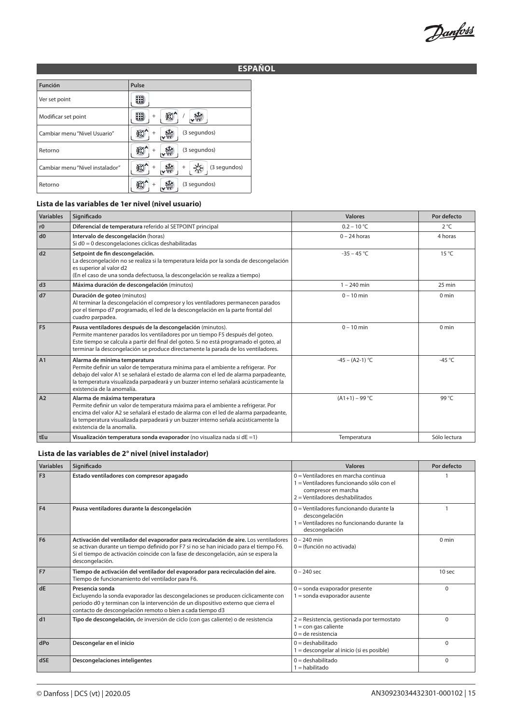Danfoss

# **ESPAÑOL**

| Función                         | Pulse                       |
|---------------------------------|-----------------------------|
| Ver set point                   |                             |
| Modificar set point             | $^{+}$                      |
| Cambiar menu "Nivel Usuario"    | (3 segundos)<br>÷           |
| Retorno                         | (3 segundos)<br>$^{+}$      |
| Cambiar menu "Nivel instalador" | (3 segundos)<br>$^{+}$<br>÷ |
| Retorno                         | (3 segundos)                |

# **Lista de las variables de 1er nivel (nivel usuario)**

| <b>Variables</b> | Significado                                                                                                                                                                                                                                                                                                                     | <b>Valores</b>    | Por defecto      |
|------------------|---------------------------------------------------------------------------------------------------------------------------------------------------------------------------------------------------------------------------------------------------------------------------------------------------------------------------------|-------------------|------------------|
| r0               | Diferencial de temperatura referido al SETPOINT principal                                                                                                                                                                                                                                                                       | $0.2 - 10 °C$     | $2^{\circ}C$     |
| d0               | Intervalo de descongelación (horas)<br>Si d0 = 0 descongelaciones cíclicas deshabilitadas                                                                                                                                                                                                                                       | $0 - 24$ horas    | 4 horas          |
| d2               | Setpoint de fin descongelación.<br>La descongelación no se realiza si la temperatura leída por la sonda de descongelación<br>es superior al valor d2<br>(En el caso de una sonda defectuosa, la descongelación se realiza a tiempo)                                                                                             | $-35 - 45$ °C     | $15^{\circ}$ C   |
| d3               | Máxima duración de descongelación (minutos)                                                                                                                                                                                                                                                                                     | $1 - 240$ min     | 25 min           |
| d7               | Duración de goteo (minutos)<br>Al terminar la descongelación el compresor y los ventiladores permanecen parados<br>por el tiempo d7 programado, el led de la descongelación en la parte frontal del<br>cuadro parpadea.                                                                                                         | $0 - 10$ min      | $0 \text{ min}$  |
| F <sub>5</sub>   | Pausa ventiladores después de la descongelación (minutos).<br>Permite mantener parados los ventiladores por un tiempo F5 después del goteo.<br>Este tiempo se calcula a partir del final del goteo. Si no está programado el goteo, al<br>terminar la descongelación se produce directamente la parada de los ventiladores.     | $0 - 10$ min      | 0 <sub>min</sub> |
| A1               | Alarma de mínima temperatura<br>Permite definir un valor de temperatura mínima para el ambiente a refrigerar. Por<br>debajo del valor A1 se señalará el estado de alarma con el led de alarma parpadeante,<br>la temperatura visualizada parpadeará y un buzzer interno señalará acústicamente la<br>existencia de la anomalía. | $-45 - (A2-1) °C$ | $-45^{\circ}$ C  |
| A2               | Alarma de máxima temperatura<br>Permite definir un valor de temperatura máxima para el ambiente a refrigerar. Por<br>encima del valor A2 se señalará el estado de alarma con el led de alarma parpadeante,<br>la temperatura visualizada parpadeará y un buzzer interno señala acústicamente la<br>existencia de la anomalía.   | $(A1+1) - 99$ °C  | 99 °C            |
| tEu              | Visualización temperatura sonda evaporador (no visualiza nada si dE $=1$ )                                                                                                                                                                                                                                                      | Temperatura       | Sólo lectura     |

#### **Lista de las variables de 2° nivel (nivel instalador)**

| <b>Variables</b> | Significado                                                                                                                                                                                                                                                                              | <b>Valores</b>                                                                                                                                | Por defecto       |
|------------------|------------------------------------------------------------------------------------------------------------------------------------------------------------------------------------------------------------------------------------------------------------------------------------------|-----------------------------------------------------------------------------------------------------------------------------------------------|-------------------|
| F <sub>3</sub>   | Estado ventiladores con compresor apagado                                                                                                                                                                                                                                                | $0 =$ Ventiladores en marcha continua<br>1 = Ventiladores funcionando sólo con el<br>compresor en marcha<br>$2 =$ Ventiladores deshabilitados |                   |
| <b>F4</b>        | Pausa ventiladores durante la descongelación                                                                                                                                                                                                                                             | 0 = Ventiladores funcionando durante la<br>descongelación<br>1 = Ventiladores no funcionando durante la<br>descongelación                     |                   |
| <b>F6</b>        | Activación del ventilador del evaporador para recirculación de aire. Los ventiladores<br>se activan durante un tiempo definido por F7 si no se han iniciado para el tiempo F6.<br>Si el tiempo de activación coincide con la fase de descongelación, aún se espera la<br>descongelación. | $0 - 240$ min<br>$0 = (function no activation)$                                                                                               | $0 \text{ min}$   |
| <b>F7</b>        | Tiempo de activación del ventilador del evaporador para recirculación del aire.<br>Tiempo de funcionamiento del ventilador para F6.                                                                                                                                                      | $0 - 240$ sec                                                                                                                                 | 10 <sub>sec</sub> |
| dE               | Presencia sonda<br>Excluyendo la sonda evaporador las descongelaciones se producen cíclicamente con<br>periodo d0 y terminan con la intervención de un dispositivo externo que cierra el<br>contacto de descongelación remoto o bien a cada tiempo d3                                    | $0 =$ sonda evaporador presente<br>$1 =$ sonda evaporador ausente                                                                             | $\Omega$          |
| dd1              | Tipo de descongelación, de inversión de ciclo (con gas caliente) o de resistencia                                                                                                                                                                                                        | 2 = Resistencia, gestionada por termostato<br>$1 = \text{con}$ qas caliente<br>$0 =$ de resistencia                                           | $\Omega$          |
| dPo              | Descongelar en el inicio                                                                                                                                                                                                                                                                 | $0 =$ deshabilitado<br>1 = descongelar al inicio (si es posible)                                                                              | $\Omega$          |
| dSE              | Descongelaciones inteligentes                                                                                                                                                                                                                                                            | $0 =$ deshabilitado<br>$1 =$ habilitado                                                                                                       | $\Omega$          |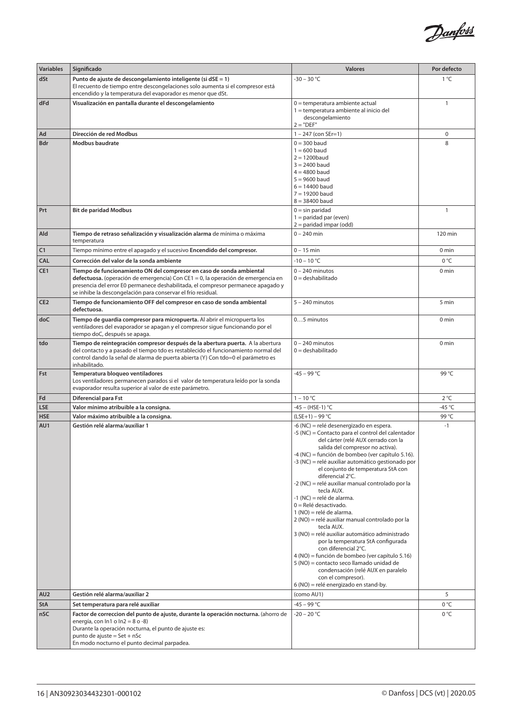

| <b>Variables</b> | Significado                                                                                                                                                                                                                                                                                                  | <b>Valores</b>                                                                                                                                                                                                                                                                                                                                                                                                                                                                                                                                                                                                                                                                                                                                                                                                                                                                        | Por defecto  |
|------------------|--------------------------------------------------------------------------------------------------------------------------------------------------------------------------------------------------------------------------------------------------------------------------------------------------------------|---------------------------------------------------------------------------------------------------------------------------------------------------------------------------------------------------------------------------------------------------------------------------------------------------------------------------------------------------------------------------------------------------------------------------------------------------------------------------------------------------------------------------------------------------------------------------------------------------------------------------------------------------------------------------------------------------------------------------------------------------------------------------------------------------------------------------------------------------------------------------------------|--------------|
| dSt              | Punto de ajuste de descongelamiento inteligente (si dSE = 1)<br>El recuento de tiempo entre descongelaciones solo aumenta si el compresor está<br>encendido y la temperatura del evaporador es menor que dSt.                                                                                                | $-30 - 30 °C$                                                                                                                                                                                                                                                                                                                                                                                                                                                                                                                                                                                                                                                                                                                                                                                                                                                                         | $1^{\circ}C$ |
| dFd              | Visualización en pantalla durante el descongelamiento                                                                                                                                                                                                                                                        | $0 =$ temperatura ambiente actual<br>1 = temperatura ambiente al inicio del<br>descongelamiento<br>$2 = "DEF"$                                                                                                                                                                                                                                                                                                                                                                                                                                                                                                                                                                                                                                                                                                                                                                        | $\mathbf{1}$ |
| Ad               | Dirección de red Modbus                                                                                                                                                                                                                                                                                      | $1 - 247$ (con SEr=1)                                                                                                                                                                                                                                                                                                                                                                                                                                                                                                                                                                                                                                                                                                                                                                                                                                                                 | 0            |
| Bdr              | <b>Modbus baudrate</b>                                                                                                                                                                                                                                                                                       | $0 = 300$ baud<br>$1 = 600$ baud<br>$2 = 1200$ baud<br>$3 = 2400$ baud<br>$4 = 4800$ baud<br>$5 = 9600$ baud<br>$6 = 14400$ baud<br>$7 = 19200$ baud<br>$8 = 38400$ baud                                                                                                                                                                                                                                                                                                                                                                                                                                                                                                                                                                                                                                                                                                              | 8            |
| Prt              | <b>Bit de paridad Modbus</b>                                                                                                                                                                                                                                                                                 | $0 = \sin$ paridad<br>$1 =$ paridad par (even)<br>$2 =$ paridad impar (odd)                                                                                                                                                                                                                                                                                                                                                                                                                                                                                                                                                                                                                                                                                                                                                                                                           | $\mathbf{1}$ |
| Ald              | Tiempo de retraso señalización y visualización alarma de mínima o máxima<br>temperatura                                                                                                                                                                                                                      | $0 - 240$ min                                                                                                                                                                                                                                                                                                                                                                                                                                                                                                                                                                                                                                                                                                                                                                                                                                                                         | 120 min      |
| C1               | Tiempo mínimo entre el apagado y el sucesivo Encendido del compresor.                                                                                                                                                                                                                                        | $0 - 15$ min                                                                                                                                                                                                                                                                                                                                                                                                                                                                                                                                                                                                                                                                                                                                                                                                                                                                          | 0 min        |
| <b>CAL</b>       | Corrección del valor de la sonda ambiente                                                                                                                                                                                                                                                                    | $-10 - 10 °C$                                                                                                                                                                                                                                                                                                                                                                                                                                                                                                                                                                                                                                                                                                                                                                                                                                                                         | 0 °C         |
| CE1              | Tiempo de funcionamiento ON del compresor en caso de sonda ambiental<br>defectuosa. (operación de emergencia) Con CE1 = 0, la operación de emergencia en<br>presencia del error E0 permanece deshabilitada, el compresor permanece apagado y<br>se inhibe la descongelación para conservar el frío residual. | $0 - 240$ minutos<br>$0 =$ deshabilitado                                                                                                                                                                                                                                                                                                                                                                                                                                                                                                                                                                                                                                                                                                                                                                                                                                              | 0 min        |
| CE <sub>2</sub>  | Tiempo de funcionamiento OFF del compresor en caso de sonda ambiental<br>defectuosa.                                                                                                                                                                                                                         | $5 - 240$ minutos                                                                                                                                                                                                                                                                                                                                                                                                                                                                                                                                                                                                                                                                                                                                                                                                                                                                     | 5 min        |
| doC              | Tiempo de guardia compresor para micropuerta. Al abrir el micropuerta los<br>ventiladores del evaporador se apagan y el compresor sigue funcionando por el<br>tiempo doC, después se apaga.                                                                                                                  | 05 minutos                                                                                                                                                                                                                                                                                                                                                                                                                                                                                                                                                                                                                                                                                                                                                                                                                                                                            | 0 min        |
| tdo              | Tiempo de reintegración compresor después de la abertura puerta. A la abertura<br>del contacto y a pasado el tiempo tdo es restablecido el funcionamiento normal del<br>control dando la señal de alarma de puerta abierta (Y) Con tdo=0 el parámetro es<br>inhabilitado.                                    | $0 - 240$ minutos<br>$0 =$ deshabilitado                                                                                                                                                                                                                                                                                                                                                                                                                                                                                                                                                                                                                                                                                                                                                                                                                                              | 0 min        |
| Fst              | Temperatura bloqueo ventiladores<br>Los ventiladores permanecen parados si el valor de temperatura leído por la sonda<br>evaporador resulta superior al valor de este parámetro.                                                                                                                             | $-45 - 99$ °C                                                                                                                                                                                                                                                                                                                                                                                                                                                                                                                                                                                                                                                                                                                                                                                                                                                                         | 99 °C        |
| Fd               | Diferencial para Fst                                                                                                                                                                                                                                                                                         | $1 - 10 °C$                                                                                                                                                                                                                                                                                                                                                                                                                                                                                                                                                                                                                                                                                                                                                                                                                                                                           | 2°C          |
| <b>LSE</b>       | Valor mínimo atribuible a la consigna.                                                                                                                                                                                                                                                                       | -45 - (HSE-1) °C                                                                                                                                                                                                                                                                                                                                                                                                                                                                                                                                                                                                                                                                                                                                                                                                                                                                      | $-45$ °C     |
| <b>HSE</b>       | Valor máximo atribuible a la consigna.                                                                                                                                                                                                                                                                       | $(LSE+1) - 99 °C$                                                                                                                                                                                                                                                                                                                                                                                                                                                                                                                                                                                                                                                                                                                                                                                                                                                                     | 99 °C        |
| AU1              | Gestión relé alarma/auxiliar 1                                                                                                                                                                                                                                                                               | -6 (NC) = relé desenergizado en espera.<br>-5 (NC) = Contacto para el control del calentador<br>del cárter (relé AUX cerrado con la<br>salida del compresor no activa).<br>-4 (NC) = función de bombeo (ver capítulo 5.16).<br>-3 (NC) = relé auxiliar automático gestionado por<br>el conjunto de temperatura StA con<br>diferencial 2°C.<br>-2 (NC) = relé auxiliar manual controlado por la<br>tecla AUX.<br>-1 (NC) = relé de alarma.<br>$0 = Rel$ é desactivado.<br>1 (NO) = relé de alarma.<br>2 (NO) = relé auxiliar manual controlado por la<br>tecla AUX.<br>3 (NO) = relé auxiliar automático administrado<br>por la temperatura StA configurada<br>con diferencial 2°C.<br>4 (NO) = función de bombeo (ver capítulo 5.16)<br>5 (NO) = contacto seco llamado unidad de<br>condensación (relé AUX en paralelo<br>con el compresor).<br>6 (NO) = relé energizado en stand-by. | $-1$         |
| AU <sub>2</sub>  | Gestión relé alarma/auxiliar 2                                                                                                                                                                                                                                                                               | (como AU1)                                                                                                                                                                                                                                                                                                                                                                                                                                                                                                                                                                                                                                                                                                                                                                                                                                                                            | 5            |
| <b>StA</b>       | Set temperatura para relé auxiliar                                                                                                                                                                                                                                                                           | $-45 - 99 °C$                                                                                                                                                                                                                                                                                                                                                                                                                                                                                                                                                                                                                                                                                                                                                                                                                                                                         | 0 °C         |
| nSC              | Factor de correccion del punto de ajuste, durante la operación nocturna. (ahorro de<br>energía, con $ln 1$ o $ln 2 = 8$ o -8)<br>Durante la operación nocturna, el punto de ajuste es:<br>punto de ajuste = Set + nSc<br>En modo nocturno el punto decimal parpadea.                                         | $-20 - 20 °C$                                                                                                                                                                                                                                                                                                                                                                                                                                                                                                                                                                                                                                                                                                                                                                                                                                                                         | 0°C          |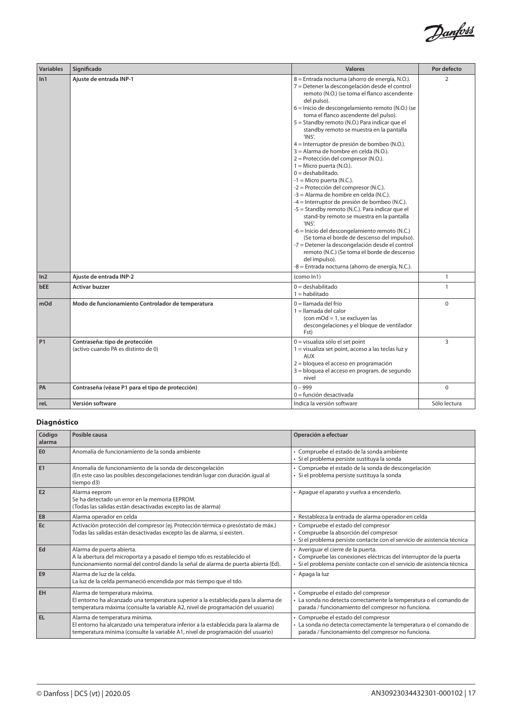

| <b>Variables</b> | Significado                                                           | <b>Valores</b>                                                                                                                                                                                                                                                                                                                                                                                                                                                                                                                                                                                                                                                                                                                                                                                                                                                                                                                                                                                                                                                                                                  | Por defecto  |
|------------------|-----------------------------------------------------------------------|-----------------------------------------------------------------------------------------------------------------------------------------------------------------------------------------------------------------------------------------------------------------------------------------------------------------------------------------------------------------------------------------------------------------------------------------------------------------------------------------------------------------------------------------------------------------------------------------------------------------------------------------------------------------------------------------------------------------------------------------------------------------------------------------------------------------------------------------------------------------------------------------------------------------------------------------------------------------------------------------------------------------------------------------------------------------------------------------------------------------|--------------|
| ln 1             | Ajuste de entrada INP-1                                               | 8 = Entrada nocturna (ahorro de energía, N.O.).<br>7 = Detener la descongelación desde el control<br>remoto (N.O.) (se toma el flanco ascendente<br>del pulso).<br>6 = Inicio de descongelamiento remoto (N.O.) (se<br>toma el flanco ascendente del pulso).<br>5 = Standby remoto (N.O.) Para indicar que el<br>standby remoto se muestra en la pantalla<br>'IN5'.<br>4 = Interruptor de presión de bombeo (N.O.).<br>3 = Alarma de hombre en celda (N.O.).<br>2 = Protección del compresor (N.O.).<br>$1 =$ Micro puerta (N.O.).<br>$0 =$ deshabilitado.<br>$-1$ = Micro puerta (N.C.).<br>-2 = Protección del compresor (N.C.).<br>-3 = Alarma de hombre en celda (N.C.).<br>-4 = Interruptor de presión de bombeo (N.C.).<br>-5 = Standby remoto (N.C.). Para indicar que el<br>stand-by remoto se muestra en la pantalla<br>'IN5'.<br>-6 = Inicio del descongelamiento remoto (N.C.)<br>(Se toma el borde de descenso del impulso).<br>-7 = Detener la descongelación desde el control<br>remoto (N.C.) (Se toma el borde de descenso<br>del impulso).<br>-8 = Entrada nocturna (ahorro de energía, N.C.). | 2            |
| ln <sub>2</sub>  | Ajuste de entrada INP-2                                               | (como In1)                                                                                                                                                                                                                                                                                                                                                                                                                                                                                                                                                                                                                                                                                                                                                                                                                                                                                                                                                                                                                                                                                                      | $\mathbf{1}$ |
| bEE              | <b>Activar buzzer</b>                                                 | $0 =$ deshabilitado<br>$1 =$ habilitado                                                                                                                                                                                                                                                                                                                                                                                                                                                                                                                                                                                                                                                                                                                                                                                                                                                                                                                                                                                                                                                                         | 1            |
| mOd              | Modo de funcionamiento Controlador de temperatura                     | $0 =$ Ilamada del frío<br>1 = llamada del calor<br>(con mOd = 1, se excluyen las<br>descongelaciones y el bloque de ventilador<br>Fst)                                                                                                                                                                                                                                                                                                                                                                                                                                                                                                                                                                                                                                                                                                                                                                                                                                                                                                                                                                          | $\mathbf 0$  |
| <b>P1</b>        | Contraseña: tipo de protección<br>(activo cuando PA es distinto de 0) | 0 = visualiza sólo el set point<br>1 = visualiza set point, acceso a las teclas luz y<br><b>AUX</b><br>2 = bloquea el acceso en programación<br>3 = bloquea el acceso en program. de segundo<br>nivel                                                                                                                                                                                                                                                                                                                                                                                                                                                                                                                                                                                                                                                                                                                                                                                                                                                                                                           | 3            |
| PA               | Contraseña (véase P1 para el tipo de protección)                      | $0 - 999$<br>$0 =$ función desactivada                                                                                                                                                                                                                                                                                                                                                                                                                                                                                                                                                                                                                                                                                                                                                                                                                                                                                                                                                                                                                                                                          | $\mathbf 0$  |
| reL              | Versión software                                                      | Indica la versión software                                                                                                                                                                                                                                                                                                                                                                                                                                                                                                                                                                                                                                                                                                                                                                                                                                                                                                                                                                                                                                                                                      | Sólo lectura |

# **Diagnóstico**

| Código<br>alarma | Posible causa                                                                                                                                                                                           | Operación a efectuar                                                                                                                                                                  |
|------------------|---------------------------------------------------------------------------------------------------------------------------------------------------------------------------------------------------------|---------------------------------------------------------------------------------------------------------------------------------------------------------------------------------------|
| E <sub>0</sub>   | Anomalía de funcionamiento de la sonda ambiente                                                                                                                                                         | · Compruebe el estado de la sonda ambiente<br>· Si el problema persiste sustituya la sonda                                                                                            |
| E1               | Anomalía de funcionamiento de la sonda de descongelación<br>(En este caso las posibles descongelaciones tendrán lugar con duración igual al<br>tiempo d3)                                               | · Compruebe el estado de la sonda de descongelación<br>· Si el problema persiste sustituya la sonda                                                                                   |
| E <sub>2</sub>   | Alarma eeprom<br>Se ha detectado un error en la memoria EEPROM.<br>(Todas las salidas están desactivadas excepto las de alarma)                                                                         | · Apague el aparato y vuelva a encenderlo.                                                                                                                                            |
| E <sub>8</sub>   | Alarma operador en celda                                                                                                                                                                                | · Restablezca la entrada de alarma operador en celda                                                                                                                                  |
| Ec               | Activación protección del compresor (ej. Protección térmica o presóstato de máx.)<br>Todas las salidas están desactivadas excepto las de alarma, si existen.                                            | · Compruebe el estado del compresor<br>· Compruebe la absorción del compresor<br>· Si el problema persiste contacte con el servicio de asistencia técnica                             |
| Ed               | Alarma de puerta abierta.<br>A la abertura del microporta y a pasado el tiempo tdo es restablecido el<br>funcionamiento normal del control dando la señal de alarma de puerta abierta (Ed).             | · Averiguar el cierre de la puerta.<br>· Compruebe las conexiones eléctricas del interruptor de la puerta<br>· Si el problema persiste contacte con el servicio de asistencia técnica |
| E <sub>9</sub>   | Alarma de luz de la celda.<br>La luz de la celda permaneció encendida por más tiempo que el tdo.                                                                                                        | • Apaga la luz                                                                                                                                                                        |
| EH               | Alarma de temperatura máxima.<br>El entorno ha alcanzado una temperatura superior a la establecida para la alarma de<br>temperatura máxima (consulte la variable A2, nivel de programación del usuario) | · Compruebe el estado del compresor<br>· La sonda no detecta correctamente la temperatura o el comando de<br>parada / funcionamiento del compresor no funciona.                       |
| EL               | Alarma de temperatura mínima.<br>El entorno ha alcanzado una temperatura inferior a la establecida para la alarma de<br>temperatura mínima (consulte la variable A1, nivel de programación del usuario) | · Compruebe el estado del compresor<br>· La sonda no detecta correctamente la temperatura o el comando de<br>parada / funcionamiento del compresor no funciona.                       |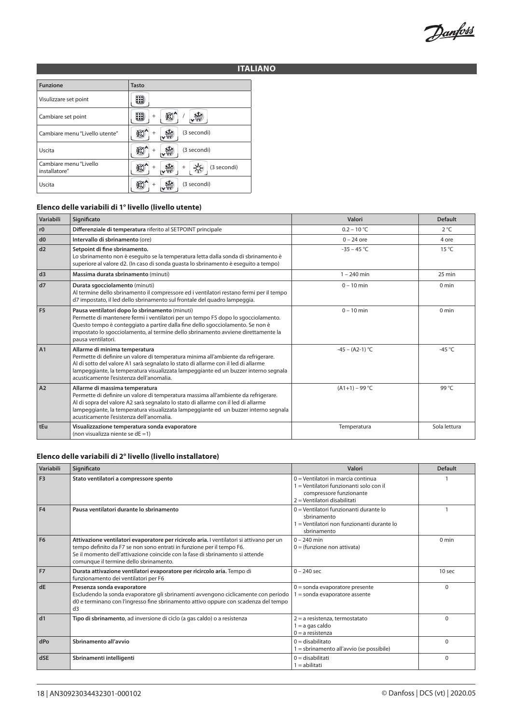Danfoss

# **ITALIANO**

| <b>Funzione</b>                         | <b>Tasto</b>          |
|-----------------------------------------|-----------------------|
| Visulizzare set point                   |                       |
| Cambiare set point                      | $^{+}$                |
| Cambiare menu "Livello utente"          | (3 secondi)<br>÷      |
| Uscita                                  | (3 secondi)           |
| Cambiare menu "Livello<br>installatore" | (3 secondi)<br>$^{+}$ |
| Uscita                                  | (3 secondi)           |

#### **Elenco delle variabili di 1° livello (livello utente)**

| Variabili      | Significato                                                                                                                                                                                                                                                                                                                                   | Valori            | <b>Default</b>   |
|----------------|-----------------------------------------------------------------------------------------------------------------------------------------------------------------------------------------------------------------------------------------------------------------------------------------------------------------------------------------------|-------------------|------------------|
| r0             | Differenziale di temperatura riferito al SETPOINT principale                                                                                                                                                                                                                                                                                  | $0.2 - 10 °C$     | $2^{\circ}C$     |
| d0             | Intervallo di sbrinamento (ore)                                                                                                                                                                                                                                                                                                               | $0 - 24$ ore      | 4 ore            |
| d2             | Setpoint di fine sbrinamento.<br>Lo sbrinamento non è eseguito se la temperatura letta dalla sonda di sbrinamento è<br>superiore al valore d2. (In caso di sonda quasta lo sbrinamento è eseguito a tempo)                                                                                                                                    | $-35 - 45$ °C     | $15^{\circ}$ C   |
| d3             | Massima durata sbrinamento (minuti)                                                                                                                                                                                                                                                                                                           | $1 - 240$ min     | $25 \text{ min}$ |
| d7             | Durata sgocciolamento (minuti)<br>Al termine dello sbrinamento il compressore ed i ventilatori restano fermi per il tempo<br>d7 impostato, il led dello sbrinamento sul frontale del quadro lampeggia.                                                                                                                                        | $0 - 10$ min      | $0 \text{ min}$  |
| F <sub>5</sub> | Pausa ventilatori dopo lo sbrinamento (minuti)<br>Permette di mantenere fermi i ventilatori per un tempo F5 dopo lo sgocciolamento.<br>Questo tempo è conteggiato a partire dalla fine dello sgocciolamento. Se non è<br>impostato lo sgocciolamento, al termine dello sbrinamento avviene direttamente la<br>pausa ventilatori.              | $0 - 10$ min      | $0 \text{ min}$  |
| A1             | Allarme di minima temperatura<br>Permette di definire un valore di temperatura minima all'ambiente da refrigerare.<br>Al di sotto del valore A1 sarà segnalato lo stato di allarme con il led di allarme<br>lampeggiante, la temperatura visualizzata lampeggiante ed un buzzer interno segnala<br>acusticamente l'esistenza dell'anomalia.   | $-45 - (A2-1)$ °C | -45 $°C$         |
| A2             | Allarme di massima temperatura<br>Permette di definire un valore di temperatura massima all'ambiente da refrigerare.<br>Al di sopra del valore A2 sarà segnalato lo stato di allarme con il led di allarme<br>lampeggiante, la temperatura visualizzata lampeggiante ed un buzzer interno segnala<br>acusticamente l'esistenza dell'anomalia. | $(A1+1) - 99$ °C  | 99 °C            |
| tEu            | Visualizzazione temperatura sonda evaporatore<br>(non visualizza niente se $dE = 1$ )                                                                                                                                                                                                                                                         | Temperatura       | Sola lettura     |

# **Elenco delle variabili di 2° livello (livello installatore)**

| Variabili      | Significato                                                                                                                                                                                                                                                                                  | Valori                                                                                                                                   | <b>Default</b>    |
|----------------|----------------------------------------------------------------------------------------------------------------------------------------------------------------------------------------------------------------------------------------------------------------------------------------------|------------------------------------------------------------------------------------------------------------------------------------------|-------------------|
| F <sub>3</sub> | Stato ventilatori a compressore spento                                                                                                                                                                                                                                                       | 0 = Ventilatori in marcia continua<br>1 = Ventilatori funzionanti solo con il<br>compressore funzionante<br>2 = Ventilatori disabilitati |                   |
| F <sub>4</sub> | Pausa ventilatori durante lo sbrinamento                                                                                                                                                                                                                                                     | $0 =$ Ventilatori funzionanti durante lo<br>sbrinamento<br>1 = Ventilatori non funzionanti durante lo<br>sbrinamento                     |                   |
| F <sub>6</sub> | Attivazione ventilatori evaporatore per ricircolo aria. I ventilatori si attivano per un<br>tempo definito da F7 se non sono entrati in funzione per il tempo F6.<br>Se il momento dell'attivazione coincide con la fase di sbrinamento si attende<br>comunque il termine dello sbrinamento. | $0 - 240$ min<br>$0 =$ (funzione non attivata)                                                                                           | $0 \text{ min}$   |
| F <sub>7</sub> | Durata attivazione ventilatori evaporatore per ricircolo aria. Tempo di<br>funzionamento dei ventilatori per F6                                                                                                                                                                              | $0 - 240$ sec                                                                                                                            | 10 <sub>sec</sub> |
| dE             | Presenza sonda evaporatore<br>Escludendo la sonda evaporatore gli sbrinamenti avvengono ciclicamente con periodo<br>d0 e terminano con l'ingresso fine sbrinamento attivo oppure con scadenza del tempo<br>d3                                                                                | $0 =$ sonda evaporatore presente<br>1 = sonda evaporatore assente                                                                        | $\Omega$          |
| dd1            | Tipo di sbrinamento, ad inversione di ciclo (a gas caldo) o a resistenza                                                                                                                                                                                                                     | $2 = a$ resistenza, termostatato<br>$1 = a$ gas caldo<br>$0 = a$ resistenza                                                              | $\Omega$          |
| dPo            | Sbrinamento all'avvio                                                                                                                                                                                                                                                                        | $0 =$ disabilitato<br>1 = sbrinamento all'avvio (se possibile)                                                                           | $\Omega$          |
| dSE            | Sbrinamenti intelligenti                                                                                                                                                                                                                                                                     | $0 =$ disabilitati<br>$1 =$ abilitati                                                                                                    | $\Omega$          |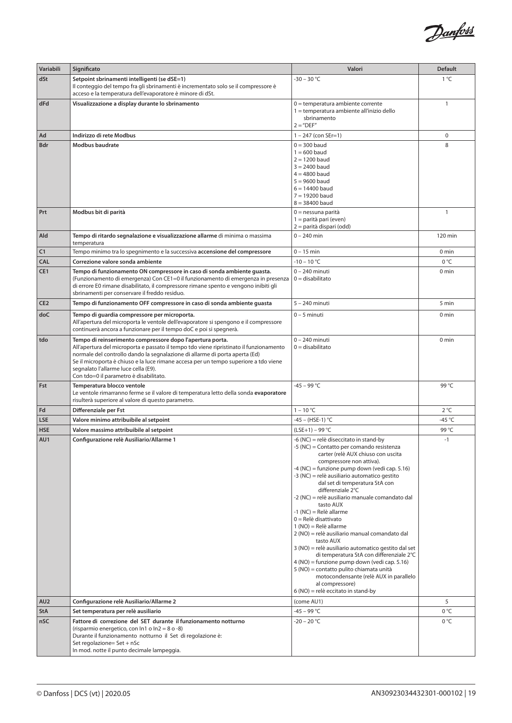

| 1°C<br>dSt<br>Setpoint sbrinamenti intelligenti (se dSE=1)<br>$-30 - 30 °C$<br>Il conteggio del tempo fra gli sbrinamenti è incrementato solo se il compressore è<br>acceso e la temperatura dell'evaporatore è minore di dSt.<br>Visualizzazione a display durante lo sbrinamento<br>$\mathbf{1}$<br>dFd<br>$0 =$ temperatura ambiente corrente<br>1 = temperatura ambiente all'inizio dello<br>sbrinamento<br>$2 = "DEF"$<br>Indirizzo di rete Modbus<br>0<br>Ad<br>$1 - 247$ (con SEr=1)<br>$0 = 300$ baud<br>8<br><b>Bdr</b><br><b>Modbus baudrate</b><br>$1 = 600$ baud<br>$2 = 1200$ baud<br>$3 = 2400$ baud<br>$4 = 4800$ baud<br>$5 = 9600$ baud<br>$6 = 14400$ baud<br>$7 = 19200$ baud<br>$8 = 38400$ baud<br>Prt<br>Modbus bit di parità<br>$0 =$ nessuna parità<br>1<br>1 = parità pari (even)<br>2 = parità dispari (odd)<br>Tempo di ritardo segnalazione e visualizzazione allarme di minima o massima<br>$0 - 240$ min<br>120 min<br>Ald<br>temperatura |  |
|-------------------------------------------------------------------------------------------------------------------------------------------------------------------------------------------------------------------------------------------------------------------------------------------------------------------------------------------------------------------------------------------------------------------------------------------------------------------------------------------------------------------------------------------------------------------------------------------------------------------------------------------------------------------------------------------------------------------------------------------------------------------------------------------------------------------------------------------------------------------------------------------------------------------------------------------------------------------------|--|
|                                                                                                                                                                                                                                                                                                                                                                                                                                                                                                                                                                                                                                                                                                                                                                                                                                                                                                                                                                         |  |
|                                                                                                                                                                                                                                                                                                                                                                                                                                                                                                                                                                                                                                                                                                                                                                                                                                                                                                                                                                         |  |
|                                                                                                                                                                                                                                                                                                                                                                                                                                                                                                                                                                                                                                                                                                                                                                                                                                                                                                                                                                         |  |
|                                                                                                                                                                                                                                                                                                                                                                                                                                                                                                                                                                                                                                                                                                                                                                                                                                                                                                                                                                         |  |
|                                                                                                                                                                                                                                                                                                                                                                                                                                                                                                                                                                                                                                                                                                                                                                                                                                                                                                                                                                         |  |
|                                                                                                                                                                                                                                                                                                                                                                                                                                                                                                                                                                                                                                                                                                                                                                                                                                                                                                                                                                         |  |
|                                                                                                                                                                                                                                                                                                                                                                                                                                                                                                                                                                                                                                                                                                                                                                                                                                                                                                                                                                         |  |
|                                                                                                                                                                                                                                                                                                                                                                                                                                                                                                                                                                                                                                                                                                                                                                                                                                                                                                                                                                         |  |
|                                                                                                                                                                                                                                                                                                                                                                                                                                                                                                                                                                                                                                                                                                                                                                                                                                                                                                                                                                         |  |
|                                                                                                                                                                                                                                                                                                                                                                                                                                                                                                                                                                                                                                                                                                                                                                                                                                                                                                                                                                         |  |
|                                                                                                                                                                                                                                                                                                                                                                                                                                                                                                                                                                                                                                                                                                                                                                                                                                                                                                                                                                         |  |
|                                                                                                                                                                                                                                                                                                                                                                                                                                                                                                                                                                                                                                                                                                                                                                                                                                                                                                                                                                         |  |
|                                                                                                                                                                                                                                                                                                                                                                                                                                                                                                                                                                                                                                                                                                                                                                                                                                                                                                                                                                         |  |
|                                                                                                                                                                                                                                                                                                                                                                                                                                                                                                                                                                                                                                                                                                                                                                                                                                                                                                                                                                         |  |
|                                                                                                                                                                                                                                                                                                                                                                                                                                                                                                                                                                                                                                                                                                                                                                                                                                                                                                                                                                         |  |
|                                                                                                                                                                                                                                                                                                                                                                                                                                                                                                                                                                                                                                                                                                                                                                                                                                                                                                                                                                         |  |
| C1<br>$0 - 15$ min<br>Tempo minimo tra lo spegnimento e la successiva accensione del compressore<br>0 min                                                                                                                                                                                                                                                                                                                                                                                                                                                                                                                                                                                                                                                                                                                                                                                                                                                               |  |
| $-10 - 10 °C$<br>0 °C<br><b>CAL</b><br>Correzione valore sonda ambiente                                                                                                                                                                                                                                                                                                                                                                                                                                                                                                                                                                                                                                                                                                                                                                                                                                                                                                 |  |
| CE1<br>Tempo di funzionamento ON compressore in caso di sonda ambiente guasta.<br>$0 - 240$ minuti<br>0 min<br>$0 =$ disabilitato                                                                                                                                                                                                                                                                                                                                                                                                                                                                                                                                                                                                                                                                                                                                                                                                                                       |  |
| (Funzionamento di emergenza) Con CE1=0 il funzionamento di emergenza in presenza<br>di errore E0 rimane disabilitato, il compressore rimane spento e vengono inibiti gli                                                                                                                                                                                                                                                                                                                                                                                                                                                                                                                                                                                                                                                                                                                                                                                                |  |
| sbrinamenti per conservare il freddo residuo.                                                                                                                                                                                                                                                                                                                                                                                                                                                                                                                                                                                                                                                                                                                                                                                                                                                                                                                           |  |
| CE <sub>2</sub><br>Tempo di funzionamento OFF compressore in caso di sonda ambiente guasta<br>$5 - 240$ minuti<br>5 min                                                                                                                                                                                                                                                                                                                                                                                                                                                                                                                                                                                                                                                                                                                                                                                                                                                 |  |
| doC<br>Tempo di guardia compressore per microporta.<br>$0 - 5$ minuti<br>0 min                                                                                                                                                                                                                                                                                                                                                                                                                                                                                                                                                                                                                                                                                                                                                                                                                                                                                          |  |
| All'apertura del microporta le ventole dell'evaporatore si spengono e il compressore<br>continuerà ancora a funzionare per il tempo doC e poi si spegnerà.                                                                                                                                                                                                                                                                                                                                                                                                                                                                                                                                                                                                                                                                                                                                                                                                              |  |
| Tempo di reinserimento compressore dopo l'apertura porta.<br>0 - 240 minuti<br>$0 \text{ min}$<br>tdo                                                                                                                                                                                                                                                                                                                                                                                                                                                                                                                                                                                                                                                                                                                                                                                                                                                                   |  |
| All'apertura del microporta e passato il tempo tdo viene ripristinato il funzionamento<br>$0 =$ disabilitato                                                                                                                                                                                                                                                                                                                                                                                                                                                                                                                                                                                                                                                                                                                                                                                                                                                            |  |
| normale del controllo dando la segnalazione di allarme di porta aperta (Ed)<br>Se il microporta è chiuso e la luce rimane accesa per un tempo superiore a tdo viene                                                                                                                                                                                                                                                                                                                                                                                                                                                                                                                                                                                                                                                                                                                                                                                                     |  |
| segnalato l'allarme luce cella (E9).                                                                                                                                                                                                                                                                                                                                                                                                                                                                                                                                                                                                                                                                                                                                                                                                                                                                                                                                    |  |
| Con tdo=0 il parametro è disabilitato.                                                                                                                                                                                                                                                                                                                                                                                                                                                                                                                                                                                                                                                                                                                                                                                                                                                                                                                                  |  |
| $-45 - 99 °C$<br>Temperatura blocco ventole<br>99 °C<br>Fst<br>Le ventole rimarranno ferme se il valore di temperatura letto della sonda evaporatore                                                                                                                                                                                                                                                                                                                                                                                                                                                                                                                                                                                                                                                                                                                                                                                                                    |  |
| risulterà superiore al valore di questo parametro.                                                                                                                                                                                                                                                                                                                                                                                                                                                                                                                                                                                                                                                                                                                                                                                                                                                                                                                      |  |
| $1 - 10 °C$<br>Fd<br>Differenziale per Fst<br>$2^{\circ}C$                                                                                                                                                                                                                                                                                                                                                                                                                                                                                                                                                                                                                                                                                                                                                                                                                                                                                                              |  |
| -45 $°C$<br><b>LSE</b><br>Valore minimo attribuibile al setpoint<br>-45 – (HSE-1) °C                                                                                                                                                                                                                                                                                                                                                                                                                                                                                                                                                                                                                                                                                                                                                                                                                                                                                    |  |
| 99 °C<br>$(LSE+1) - 99 °C$<br><b>HSE</b><br>Valore massimo attribuibile al setpoint                                                                                                                                                                                                                                                                                                                                                                                                                                                                                                                                                                                                                                                                                                                                                                                                                                                                                     |  |
| AU1<br>-6 (NC) = relè diseccitato in stand-by<br>Configurazione relè Ausiliario/Allarme 1<br>$-1$                                                                                                                                                                                                                                                                                                                                                                                                                                                                                                                                                                                                                                                                                                                                                                                                                                                                       |  |
| -5 (NC) = Contatto per comando resistenza<br>carter (relè AUX chiuso con uscita                                                                                                                                                                                                                                                                                                                                                                                                                                                                                                                                                                                                                                                                                                                                                                                                                                                                                         |  |
| compressore non attiva).                                                                                                                                                                                                                                                                                                                                                                                                                                                                                                                                                                                                                                                                                                                                                                                                                                                                                                                                                |  |
| -4 (NC) = funzione pump down (vedi cap. 5.16)<br>-3 (NC) = relè ausiliario automatico gestito                                                                                                                                                                                                                                                                                                                                                                                                                                                                                                                                                                                                                                                                                                                                                                                                                                                                           |  |
| dal set di temperatura StA con                                                                                                                                                                                                                                                                                                                                                                                                                                                                                                                                                                                                                                                                                                                                                                                                                                                                                                                                          |  |
| differenziale 2°C                                                                                                                                                                                                                                                                                                                                                                                                                                                                                                                                                                                                                                                                                                                                                                                                                                                                                                                                                       |  |
| -2 (NC) = relè ausiliario manuale comandato dal<br>tasto AUX                                                                                                                                                                                                                                                                                                                                                                                                                                                                                                                                                                                                                                                                                                                                                                                                                                                                                                            |  |
| -1 (NC) = Relè allarme                                                                                                                                                                                                                                                                                                                                                                                                                                                                                                                                                                                                                                                                                                                                                                                                                                                                                                                                                  |  |
| $0 =$ Relè disattivato<br>$1 (NO) = Relè$ allarme                                                                                                                                                                                                                                                                                                                                                                                                                                                                                                                                                                                                                                                                                                                                                                                                                                                                                                                       |  |
| 2 (NO) = relè ausiliario manual comandato dal                                                                                                                                                                                                                                                                                                                                                                                                                                                                                                                                                                                                                                                                                                                                                                                                                                                                                                                           |  |
| tasto AUX                                                                                                                                                                                                                                                                                                                                                                                                                                                                                                                                                                                                                                                                                                                                                                                                                                                                                                                                                               |  |
| 3 (NO) = relè ausiliario automatico gestito dal set<br>di temperatura StA con differenziale 2°C                                                                                                                                                                                                                                                                                                                                                                                                                                                                                                                                                                                                                                                                                                                                                                                                                                                                         |  |
| 4 (NO) = funzione pump down (vedi cap. 5.16)                                                                                                                                                                                                                                                                                                                                                                                                                                                                                                                                                                                                                                                                                                                                                                                                                                                                                                                            |  |
| 5 (NO) = contatto pulito chiamata unità<br>motocondensante (relè AUX in parallelo                                                                                                                                                                                                                                                                                                                                                                                                                                                                                                                                                                                                                                                                                                                                                                                                                                                                                       |  |
| al compressore)                                                                                                                                                                                                                                                                                                                                                                                                                                                                                                                                                                                                                                                                                                                                                                                                                                                                                                                                                         |  |
| 6 (NO) = relè eccitato in stand-by                                                                                                                                                                                                                                                                                                                                                                                                                                                                                                                                                                                                                                                                                                                                                                                                                                                                                                                                      |  |
| 5<br>AU <sub>2</sub><br>Configurazione relè Ausiliario/Allarme 2<br>(come AU1)<br>$-45 - 99 °C$<br>0°C<br><b>StA</b>                                                                                                                                                                                                                                                                                                                                                                                                                                                                                                                                                                                                                                                                                                                                                                                                                                                    |  |
| Set temperatura per relè ausiliario<br>$-20 - 20 °C$<br>0°C<br>nSC<br>Fattore di correzione del SET durante il funzionamento notturno                                                                                                                                                                                                                                                                                                                                                                                                                                                                                                                                                                                                                                                                                                                                                                                                                                   |  |
| (risparmio energetico, con In1 o In2 = 8 o -8)                                                                                                                                                                                                                                                                                                                                                                                                                                                                                                                                                                                                                                                                                                                                                                                                                                                                                                                          |  |
| Durante il funzionamento notturno il Set di regolazione è:                                                                                                                                                                                                                                                                                                                                                                                                                                                                                                                                                                                                                                                                                                                                                                                                                                                                                                              |  |
| Set regolazione= Set + nSc<br>In mod. notte il punto decimale lampeggia.                                                                                                                                                                                                                                                                                                                                                                                                                                                                                                                                                                                                                                                                                                                                                                                                                                                                                                |  |